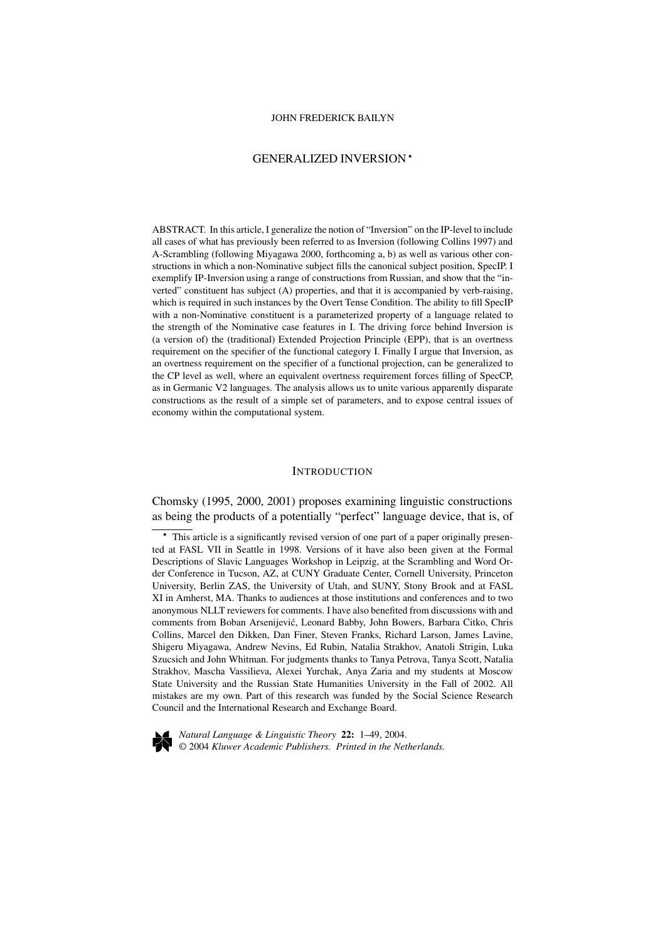#### GENERALIZED INVERSION

ABSTRACT. In this article, I generalize the notion of "Inversion" on the IP-level to include all cases of what has previously been referred to as Inversion (following Collins 1997) and A-Scrambling (following Miyagawa 2000, forthcoming a, b) as well as various other constructions in which a non-Nominative subject fills the canonical subject position, SpecIP. I exemplify IP-Inversion using a range of constructions from Russian, and show that the "inverted" constituent has subject (A) properties, and that it is accompanied by verb-raising, which is required in such instances by the Overt Tense Condition. The ability to fill SpecIP with a non-Nominative constituent is a parameterized property of a language related to the strength of the Nominative case features in I. The driving force behind Inversion is (a version of) the (traditional) Extended Projection Principle (EPP), that is an overtness requirement on the specifier of the functional category I. Finally I argue that Inversion, as an overtness requirement on the specifier of a functional projection, can be generalized to the CP level as well, where an equivalent overtness requirement forces filling of SpecCP, as in Germanic V2 languages. The analysis allows us to unite various apparently disparate constructions as the result of a simple set of parameters, and to expose central issues of economy within the computational system.

#### **INTRODUCTION**

Chomsky (1995, 2000, 2001) proposes examining linguistic constructions as being the products of a potentially "perfect" language device, that is, of

This article is a significantly revised version of one part of a paper originally presented at FASL VII in Seattle in 1998. Versions of it have also been given at the Formal Descriptions of Slavic Languages Workshop in Leipzig, at the Scrambling and Word Order Conference in Tucson, AZ, at CUNY Graduate Center, Cornell University, Princeton University, Berlin ZAS, the University of Utah, and SUNY, Stony Brook and at FASL XI in Amherst, MA. Thanks to audiences at those institutions and conferences and to two anonymous NLLT reviewers for comments. I have also benefited from discussions with and comments from Boban Arsenijevic, Leonard Babby, John Bowers, Barbara Citko, Chris ´ Collins, Marcel den Dikken, Dan Finer, Steven Franks, Richard Larson, James Lavine, Shigeru Miyagawa, Andrew Nevins, Ed Rubin, Natalia Strakhov, Anatoli Strigin, Luka Szucsich and John Whitman. For judgments thanks to Tanya Petrova, Tanya Scott, Natalia Strakhov, Mascha Vassilieva, Alexei Yurchak, Anya Zaria and my students at Moscow State University and the Russian State Humanities University in the Fall of 2002. All mistakes are my own. Part of this research was funded by the Social Science Research Council and the International Research and Exchange Board.



*Natural Language & Linguistic Theory* **22:** 1–49, 2004. © 2004 *Kluwer Academic Publishers. Printed in the Netherlands.*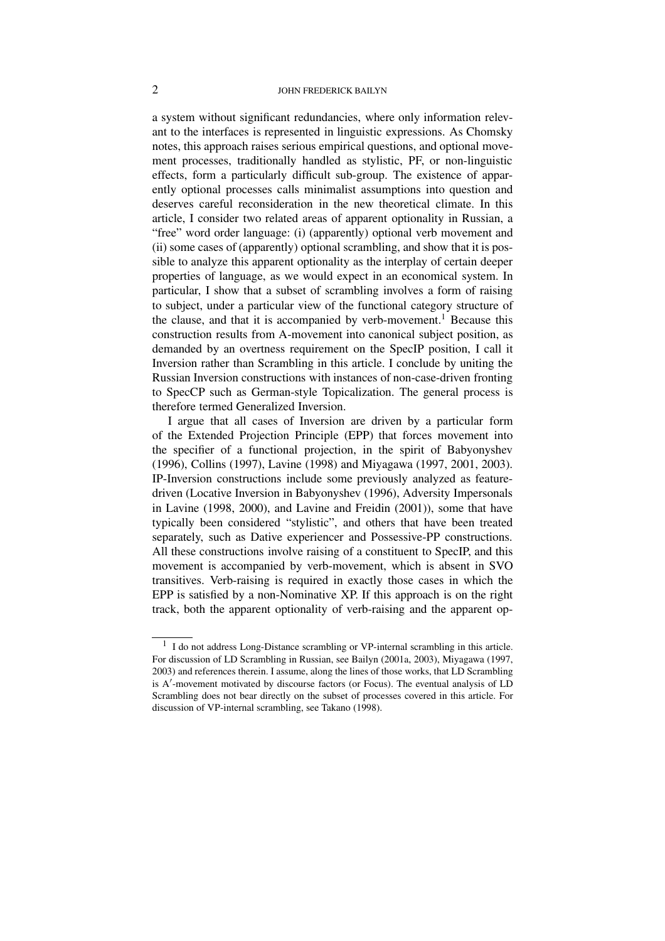a system without significant redundancies, where only information relevant to the interfaces is represented in linguistic expressions. As Chomsky notes, this approach raises serious empirical questions, and optional movement processes, traditionally handled as stylistic, PF, or non-linguistic effects, form a particularly difficult sub-group. The existence of apparently optional processes calls minimalist assumptions into question and deserves careful reconsideration in the new theoretical climate. In this article, I consider two related areas of apparent optionality in Russian, a "free" word order language: (i) (apparently) optional verb movement and (ii) some cases of (apparently) optional scrambling, and show that it is possible to analyze this apparent optionality as the interplay of certain deeper properties of language, as we would expect in an economical system. In particular, I show that a subset of scrambling involves a form of raising to subject, under a particular view of the functional category structure of the clause, and that it is accompanied by verb-movement.<sup>1</sup> Because this construction results from A-movement into canonical subject position, as demanded by an overtness requirement on the SpecIP position, I call it Inversion rather than Scrambling in this article. I conclude by uniting the Russian Inversion constructions with instances of non-case-driven fronting to SpecCP such as German-style Topicalization. The general process is therefore termed Generalized Inversion.

I argue that all cases of Inversion are driven by a particular form of the Extended Projection Principle (EPP) that forces movement into the specifier of a functional projection, in the spirit of Babyonyshev (1996), Collins (1997), Lavine (1998) and Miyagawa (1997, 2001, 2003). IP-Inversion constructions include some previously analyzed as featuredriven (Locative Inversion in Babyonyshev (1996), Adversity Impersonals in Lavine (1998, 2000), and Lavine and Freidin (2001)), some that have typically been considered "stylistic", and others that have been treated separately, such as Dative experiencer and Possessive-PP constructions. All these constructions involve raising of a constituent to SpecIP, and this movement is accompanied by verb-movement, which is absent in SVO transitives. Verb-raising is required in exactly those cases in which the EPP is satisfied by a non-Nominative XP. If this approach is on the right track, both the apparent optionality of verb-raising and the apparent op-

<sup>1</sup> I do not address Long-Distance scrambling or VP-internal scrambling in this article. For discussion of LD Scrambling in Russian, see Bailyn (2001a, 2003), Miyagawa (1997, 2003) and references therein. I assume, along the lines of those works, that LD Scrambling is A -movement motivated by discourse factors (or Focus). The eventual analysis of LD Scrambling does not bear directly on the subset of processes covered in this article. For discussion of VP-internal scrambling, see Takano (1998).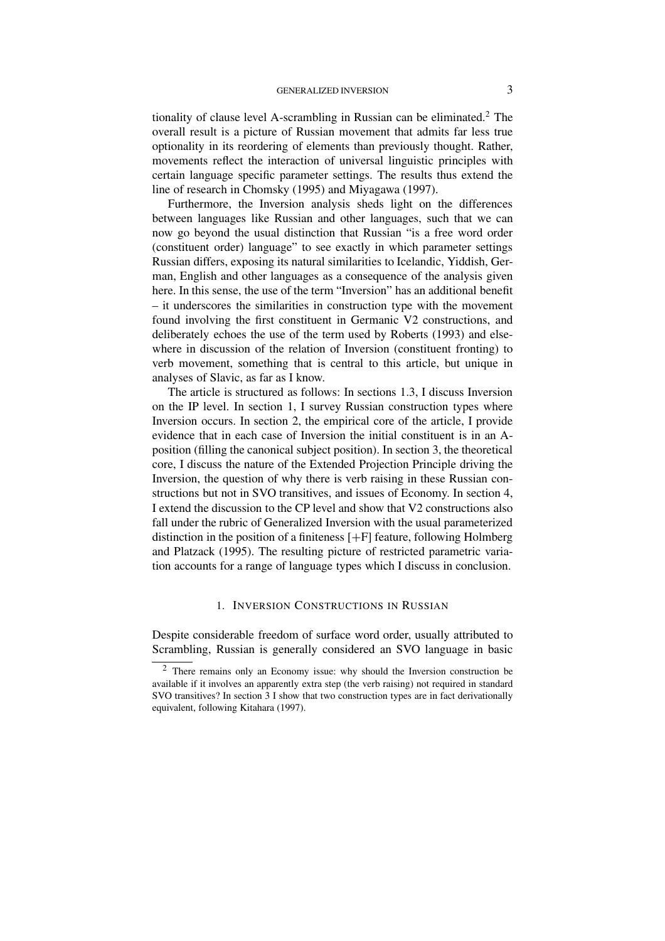tionality of clause level A-scrambling in Russian can be eliminated.<sup>2</sup> The overall result is a picture of Russian movement that admits far less true optionality in its reordering of elements than previously thought. Rather, movements reflect the interaction of universal linguistic principles with certain language specific parameter settings. The results thus extend the line of research in Chomsky (1995) and Miyagawa (1997).

Furthermore, the Inversion analysis sheds light on the differences between languages like Russian and other languages, such that we can now go beyond the usual distinction that Russian "is a free word order (constituent order) language" to see exactly in which parameter settings Russian differs, exposing its natural similarities to Icelandic, Yiddish, German, English and other languages as a consequence of the analysis given here. In this sense, the use of the term "Inversion" has an additional benefit – it underscores the similarities in construction type with the movement found involving the first constituent in Germanic V2 constructions, and deliberately echoes the use of the term used by Roberts (1993) and elsewhere in discussion of the relation of Inversion (constituent fronting) to verb movement, something that is central to this article, but unique in analyses of Slavic, as far as I know.

The article is structured as follows: In sections 1.3, I discuss Inversion on the IP level. In section 1, I survey Russian construction types where Inversion occurs. In section 2, the empirical core of the article, I provide evidence that in each case of Inversion the initial constituent is in an Aposition (filling the canonical subject position). In section 3, the theoretical core, I discuss the nature of the Extended Projection Principle driving the Inversion, the question of why there is verb raising in these Russian constructions but not in SVO transitives, and issues of Economy. In section 4, I extend the discussion to the CP level and show that V2 constructions also fall under the rubric of Generalized Inversion with the usual parameterized distinction in the position of a finiteness [+F] feature, following Holmberg and Platzack (1995). The resulting picture of restricted parametric variation accounts for a range of language types which I discuss in conclusion.

### 1. INVERSION CONSTRUCTIONS IN RUSSIAN

Despite considerable freedom of surface word order, usually attributed to Scrambling, Russian is generally considered an SVO language in basic

<sup>2</sup> There remains only an Economy issue: why should the Inversion construction be available if it involves an apparently extra step (the verb raising) not required in standard SVO transitives? In section 3 I show that two construction types are in fact derivationally equivalent, following Kitahara (1997).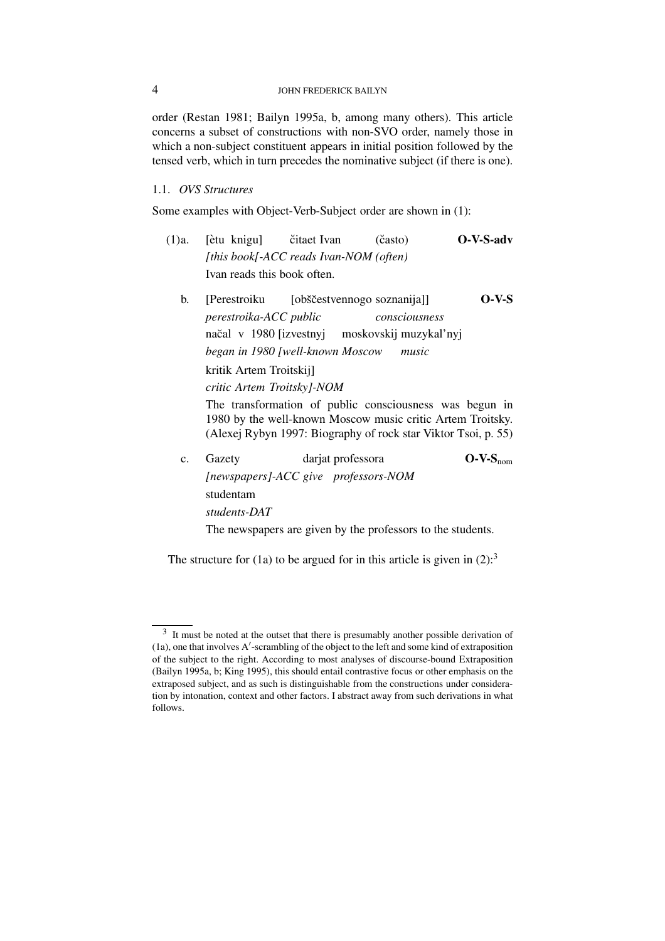order (Restan 1981; Bailyn 1995a, b, among many others). This article concerns a subset of constructions with non-SVO order, namely those in which a non-subject constituent appears in initial position followed by the tensed verb, which in turn precedes the nominative subject (if there is one).

### 1.1. *OVS Structures*

Some examples with Object-Verb-Subject order are shown in (1):

- $(1)a$ . *[this book[-ACC reads Ivan-NOM (often)* [ètu knigu] čitaet Ivan  $(často)$ **O-V-S-adv** Ivan reads this book often.
	- b. [Perestroiku *perestroika-ACC public* [obščestvennogo soznanija]] *consciousness* **O-V-S** načal v 1980 [izvestnyj *began in 1980 [well-known Moscow* moskovskij muzykal'nyj *music* kritik Artem Troitskij] *critic Artem Troitsky]-NOM* The transformation of public consciousness was begun in

1980 by the well-known Moscow music critic Artem Troitsky. (Alexej Rybyn 1997: Biography of rock star Viktor Tsoi, p. 55)

c. Gazety *[newspapers]-ACC give professors-NOM* darjat professora **O-V-S**nom studentam *students-DAT* The newspapers are given by the professors to the students.

The structure for (1a) to be argued for in this article is given in  $(2)$ :<sup>3</sup>

It must be noted at the outset that there is presumably another possible derivation of  $(1a)$ , one that involves A'-scrambling of the object to the left and some kind of extraposition of the subject to the right. According to most analyses of discourse-bound Extraposition (Bailyn 1995a, b; King 1995), this should entail contrastive focus or other emphasis on the extraposed subject, and as such is distinguishable from the constructions under consideration by intonation, context and other factors. I abstract away from such derivations in what follows.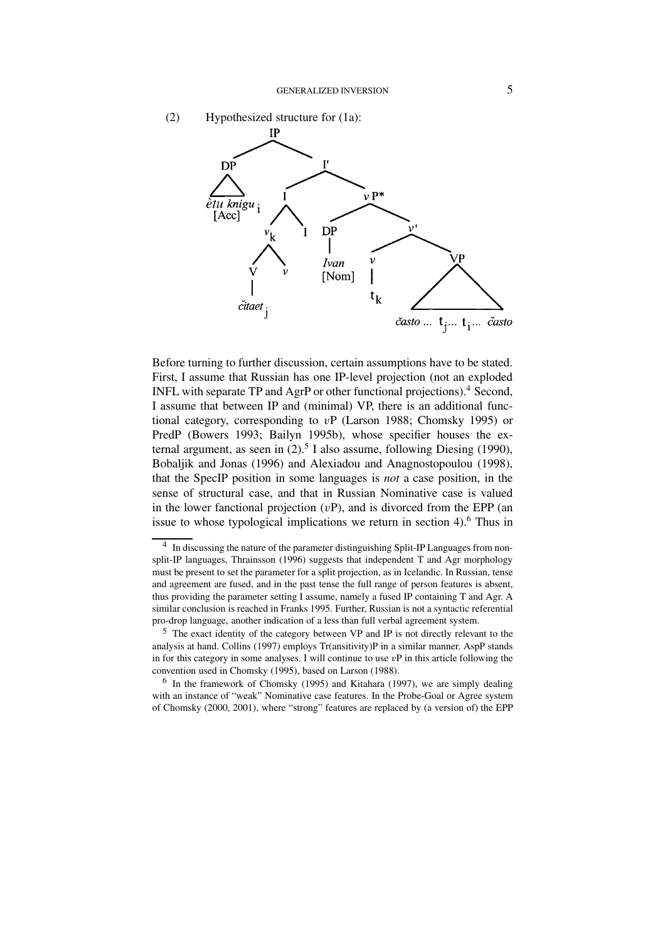

Before turning to further discussion, certain assumptions have to be stated. First, I assume that Russian has one IP-level projection (not an exploded INFL with separate TP and AgrP or other functional projections).<sup>4</sup> Second, I assume that between IP and (minimal) VP, there is an additional functional category, corresponding to *v*P (Larson 1988; Chomsky 1995) or PredP (Bowers 1993; Bailyn 1995b), whose specifier houses the external argument, as seen in  $(2)$ .<sup>5</sup> I also assume, following Diesing (1990), Bobaljik and Jonas (1996) and Alexiadou and Anagnostopoulou (1998), that the SpecIP position in some languages is *not* a case position, in the sense of structural case, and that in Russian Nominative case is valued in the lower fanctional projection  $(vP)$ , and is divorced from the EPP (an issue to whose typological implications we return in section 4).<sup>6</sup> Thus in

In discussing the nature of the parameter distinguishing Split-IP Languages from nonsplit-IP languages, Thrainsson (1996) suggests that independent T and Agr morphology must be present to set the parameter for a split projection, as in Icelandic. In Russian, tense and agreement are fused, and in the past tense the full range of person features is absent, thus providing the parameter setting I assume, namely a fused IP containing T and Agr. A similar conclusion is reached in Franks 1995. Further, Russian is not a syntactic referential pro-drop language, another indication of a less than full verbal agreement system.

<sup>5</sup> The exact identity of the category between VP and IP is not directly relevant to the analysis at hand. Collins (1997) employs Tr(ansitivity)P in a similar manner. AspP stands in for this category in some analyses. I will continue to use *v*P in this article following the convention used in Chomsky (1995), based on Larson (1988).

 $6\;$  In the framework of Chomsky (1995) and Kitahara (1997), we are simply dealing with an instance of "weak" Nominative case features. In the Probe-Goal or Agree system of Chomsky (2000, 2001), where "strong" features are replaced by (a version of) the EPP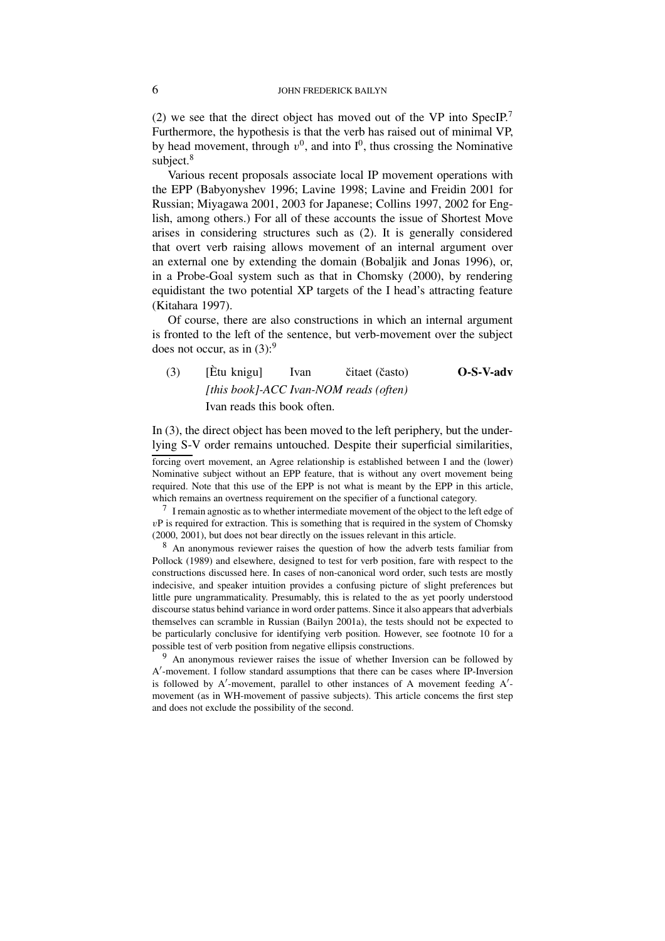(2) we see that the direct object has moved out of the VP into SpecIP.<sup>7</sup> Furthermore, the hypothesis is that the verb has raised out of minimal VP, by head movement, through  $v^0$ , and into  $I^0$ , thus crossing the Nominative subject.<sup>8</sup>

Various recent proposals associate local IP movement operations with the EPP (Babyonyshev 1996; Lavine 1998; Lavine and Freidin 2001 for Russian; Miyagawa 2001, 2003 for Japanese; Collins 1997, 2002 for English, among others.) For all of these accounts the issue of Shortest Move arises in considering structures such as (2). It is generally considered that overt verb raising allows movement of an internal argument over an external one by extending the domain (Bobaljik and Jonas 1996), or, in a Probe-Goal system such as that in Chomsky (2000), by rendering equidistant the two potential XP targets of the I head's attracting feature (Kitahara 1997).

Of course, there are also constructions in which an internal argument is fronted to the left of the sentence, but verb-movement over the subject does not occur, as in  $(3)$ :<sup>9</sup>

#### *(*3*)* [Etu ` knigu] *[this book]-ACC Ivan-NOM reads (often)* Ivan čitaet (často) **O-S-V-adv** Ivan reads this book often.

In (3), the direct object has been moved to the left periphery, but the underlying S-V order remains untouched. Despite their superficial similarities,

forcing overt movement, an Agree relationship is established between I and the (lower) Nominative subject without an EPP feature, that is without any overt movement being required. Note that this use of the EPP is not what is meant by the EPP in this article, which remains an overtness requirement on the specifier of a functional category.

 $7\,$  I remain agnostic as to whether intermediate movement of the object to the left edge of *v*P is required for extraction. This is something that is required in the system of Chomsky (2000, 2001), but does not bear directly on the issues relevant in this article.

An anonymous reviewer raises the question of how the adverb tests familiar from Pollock (1989) and elsewhere, designed to test for verb position, fare with respect to the constructions discussed here. In cases of non-canonical word order, such tests are mostly indecisive, and speaker intuition provides a confusing picture of slight preferences but little pure ungrammaticality. Presumably, this is related to the as yet poorly understood discourse status behind variance in word order pattems. Since it also appears that adverbials themselves can scramble in Russian (Bailyn 2001a), the tests should not be expected to be particularly conclusive for identifying verb position. However, see footnote 10 for a possible test of verb position from negative ellipsis constructions.

<sup>9</sup> An anonymous reviewer raises the issue of whether Inversion can be followed by A -movement. I follow standard assumptions that there can be cases where IP-Inversion is followed by A'-movement, parallel to other instances of A movement feeding A'movement (as in WH-movement of passive subjects). This article concems the first step and does not exclude the possibility of the second.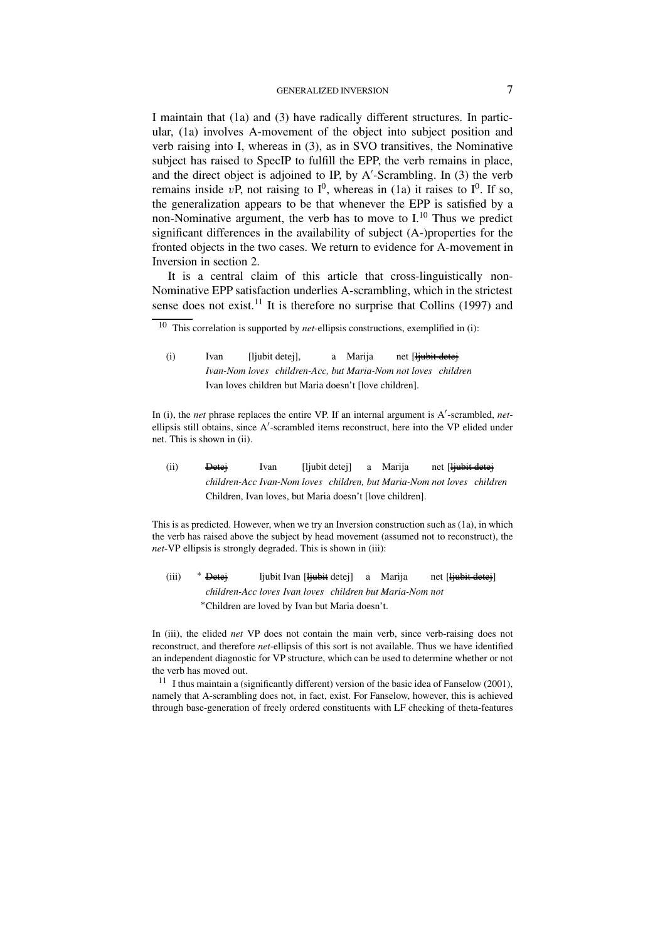I maintain that (1a) and (3) have radically different structures. In particular, (1a) involves A-movement of the object into subject position and verb raising into I, whereas in (3), as in SVO transitives, the Nominative subject has raised to SpecIP to fulfill the EPP, the verb remains in place, and the direct object is adjoined to IP, by A -Scrambling. In (3) the verb remains inside *vP*, not raising to  $I^0$ , whereas in (1a) it raises to  $I^0$ . If so, the generalization appears to be that whenever the EPP is satisfied by a non-Nominative argument, the verb has to move to  $I<sup>10</sup>$ . Thus we predict significant differences in the availability of subject (A-)properties for the fronted objects in the two cases. We return to evidence for A-movement in Inversion in section 2.

It is a central claim of this article that cross-linguistically non-Nominative EPP satisfaction underlies A-scrambling, which in the strictest sense does not exist.<sup>11</sup> It is therefore no surprise that Collins (1997) and

This correlation is supported by *net*-ellipsis constructions, exemplified in (i):

*(*i*)* Ivan *Ivan-Nom loves children-Acc, but Maria-Nom not loves children* [ljubit detej], a Marija net [<del>ljubit detej</del> Ivan loves children but Maria doesn't [love children].

In (i), the *net* phrase replaces the entire VP. If an internal argument is A'-scrambled, *net*ellipsis still obtains, since A -scrambled items reconstruct, here into the VP elided under net. This is shown in (ii).

*(*ii*)* Detej *children-Acc Ivan-Nom loves children, but Maria-Nom not loves children* Ivan [ljubit detej] a Marija net [<del>ljubit detej</del> Children, Ivan loves, but Maria doesn't [love children].

This is as predicted. However, when we try an Inversion construction such as (1a), in which the verb has raised above the subject by head movement (assumed not to reconstruct), the *net*-VP ellipsis is strongly degraded. This is shown in (iii):

*(*iii*)* ∗ Detej *children-Acc loves Ivan loves children but Maria-Nom not* ljubit Ivan [<del>ljubit</del> detej] a Marija net [<del>ljubit detej</del>] ∗Children are loved by Ivan but Maria doesn't.

In (iii), the elided *net* VP does not contain the main verb, since verb-raising does not reconstruct, and therefore *net*-ellipsis of this sort is not available. Thus we have identified an independent diagnostic for VP structure, which can be used to determine whether or not the verb has moved out.

<sup>11</sup> I thus maintain a (significantly different) version of the basic idea of Fanselow (2001), namely that A-scrambling does not, in fact, exist. For Fanselow, however, this is achieved through base-generation of freely ordered constituents with LF checking of theta-features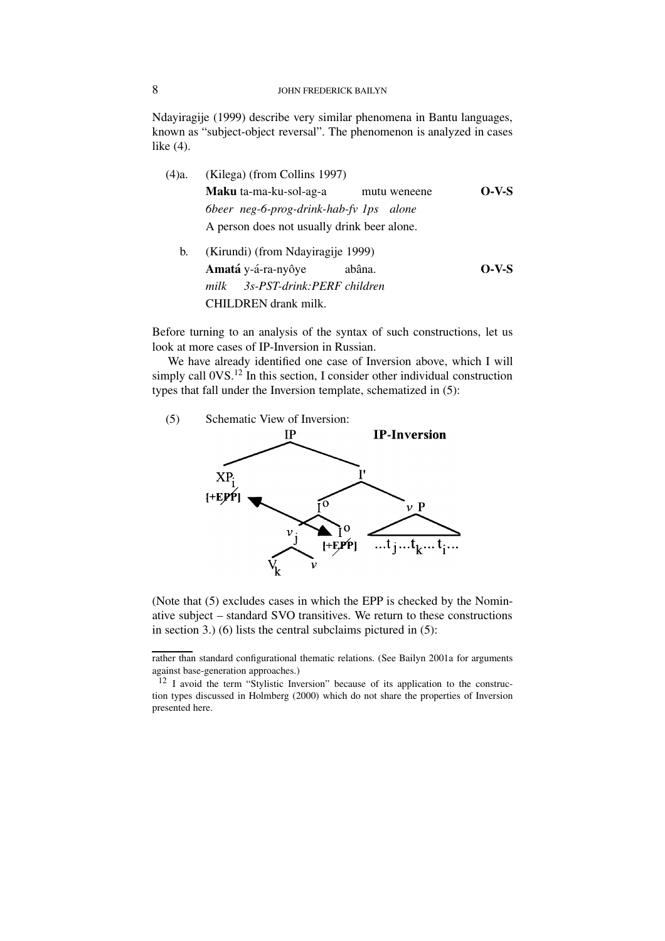Ndayiragije (1999) describe very similar phenomena in Bantu languages, known as "subject-object reversal". The phenomenon is analyzed in cases like (4).

| (4)a. | (Kilega) (from Collins 1997)                                                           |         |  |  |  |
|-------|----------------------------------------------------------------------------------------|---------|--|--|--|
|       | <b>Maku</b> ta-ma-ku-sol-ag-a<br>mutu weneene                                          | $O-V-S$ |  |  |  |
|       | 6beer neg-6-prog-drink-hab-fv 1ps alone<br>A person does not usually drink beer alone. |         |  |  |  |
| b.    | (Kirundi) (from Ndayiragije 1999)                                                      |         |  |  |  |
|       | Amatá y-á-ra-nyôye<br>abâna.                                                           | $O-V-S$ |  |  |  |
|       | 3s-PST-drink:PERF children<br>milk                                                     |         |  |  |  |
|       | CHILDREN drank milk.                                                                   |         |  |  |  |

Before turning to an analysis of the syntax of such constructions, let us look at more cases of IP-Inversion in Russian.

We have already identified one case of Inversion above, which I will simply call 0VS.<sup>12</sup> In this section, I consider other individual construction types that fall under the Inversion template, schematized in (5):



(Note that (5) excludes cases in which the EPP is checked by the Nominative subject – standard SVO transitives. We return to these constructions in section 3.) (6) lists the central subclaims pictured in (5):

rather than standard configurational thematic relations. (See Bailyn 2001a for arguments against base-generation approaches.)

<sup>&</sup>lt;sup>12</sup> I avoid the term "Stylistic Inversion" because of its application to the construction types discussed in Holmberg (2000) which do not share the properties of Inversion presented here.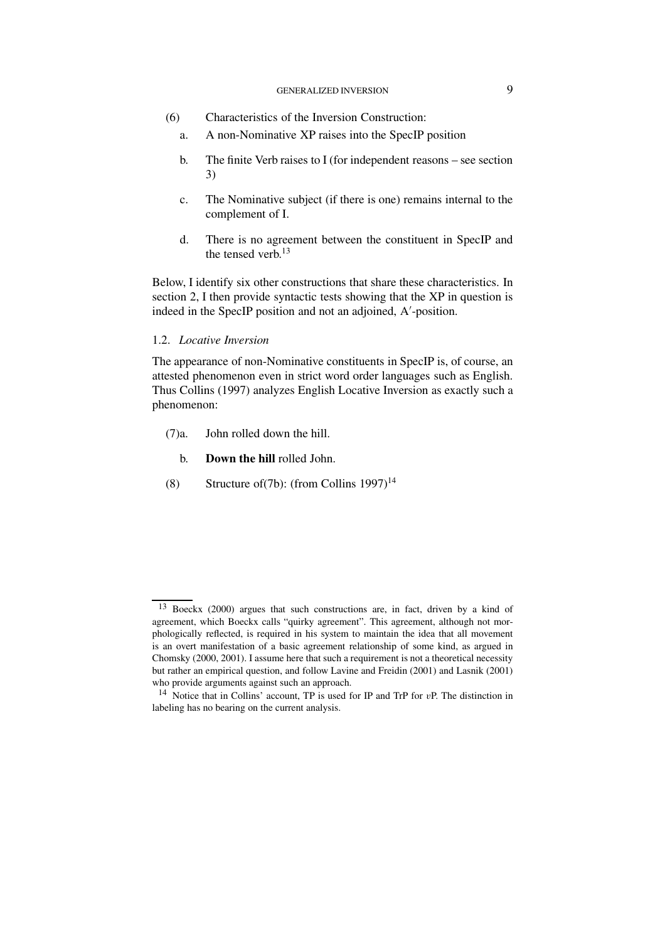### GENERALIZED INVERSION 9

- (6) Characteristics of the Inversion Construction:
	- a. A non-Nominative XP raises into the SpecIP position
	- b. The finite Verb raises to I (for independent reasons see section 3)
	- c. The Nominative subject (if there is one) remains internal to the complement of I.
	- d. There is no agreement between the constituent in SpecIP and the tensed verb.<sup>13</sup>

Below, I identify six other constructions that share these characteristics. In section 2, I then provide syntactic tests showing that the XP in question is indeed in the SpecIP position and not an adjoined, A -position.

### 1.2. *Locative Inversion*

The appearance of non-Nominative constituents in SpecIP is, of course, an attested phenomenon even in strict word order languages such as English. Thus Collins (1997) analyzes English Locative Inversion as exactly such a phenomenon:

- (7)a. John rolled down the hill.
	- b. **Down the hill** rolled John.
- (8) Structure of  $(7b)$ : (from Collins 1997)<sup>14</sup>

<sup>13</sup> Boeckx (2000) argues that such constructions are, in fact, driven by a kind of agreement, which Boeckx calls "quirky agreement". This agreement, although not morphologically reflected, is required in his system to maintain the idea that all movement is an overt manifestation of a basic agreement relationship of some kind, as argued in Chomsky (2000, 2001). I assume here that such a requirement is not a theoretical necessity but rather an empirical question, and follow Lavine and Freidin (2001) and Lasnik (2001) who provide arguments against such an approach.

<sup>14</sup> Notice that in Collins' account, TP is used for IP and TrP for *v*P. The distinction in labeling has no bearing on the current analysis.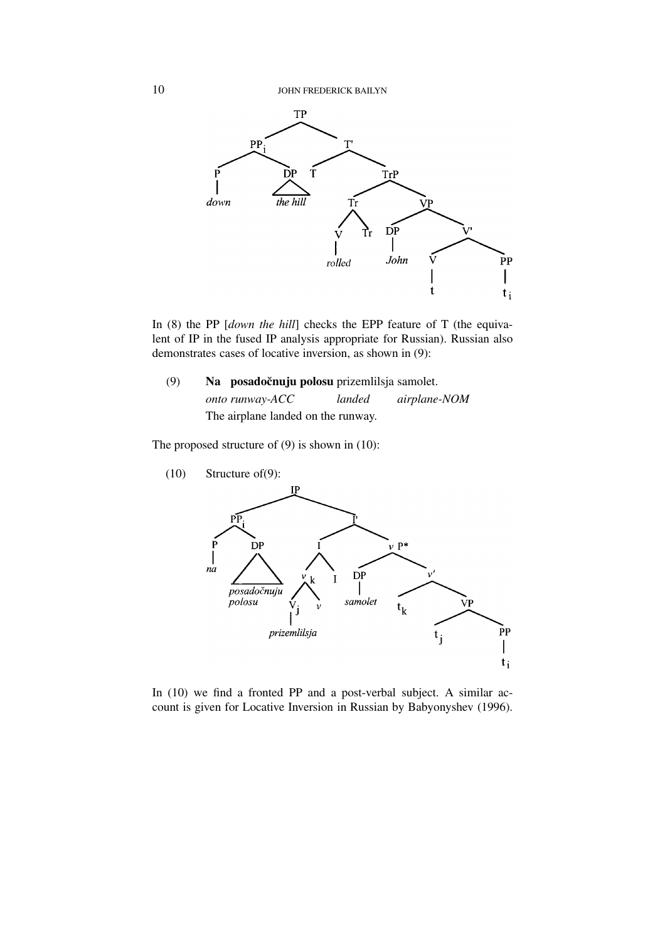

In (8) the PP [*down the hill*] checks the EPP feature of T (the equivalent of IP in the fused IP analysis appropriate for Russian). Russian also demonstrates cases of locative inversion, as shown in (9):

*(*9*)* **Na** *onto runway-ACC* posadočnuju polosu prizemlilsja samolet. *landed airplane-NOM* The airplane landed on the runway.

The proposed structure of (9) is shown in (10):



In (10) we find a fronted PP and a post-verbal subject. A similar account is given for Locative Inversion in Russian by Babyonyshev (1996).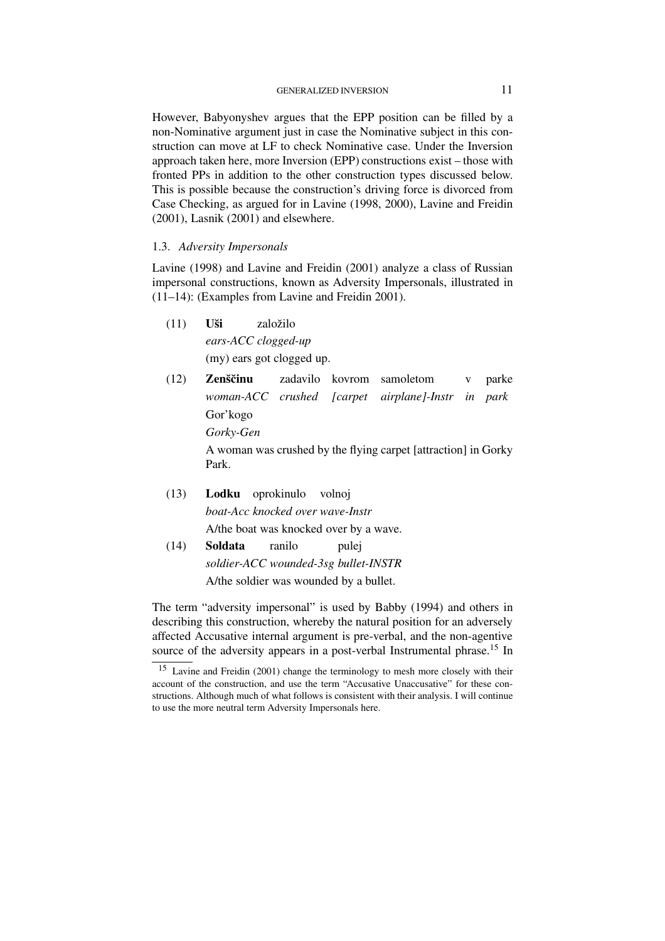However, Babyonyshev argues that the EPP position can be filled by a non-Nominative argument just in case the Nominative subject in this construction can move at LF to check Nominative case. Under the Inversion approach taken here, more Inversion (EPP) constructions exist – those with fronted PPs in addition to the other construction types discussed below. This is possible because the construction's driving force is divorced from Case Checking, as argued for in Lavine (1998, 2000), Lavine and Freidin (2001), Lasnik (2001) and elsewhere.

#### 1.3. *Adversity Impersonals*

Lavine (1998) and Lavine and Freidin (2001) analyze a class of Russian impersonal constructions, known as Adversity Impersonals, illustrated in (11–14): (Examples from Lavine and Freidin 2001).

- $(11)$  **Usi** *ears-ACC clogged-up* založilo (my) ears got clogged up.
- *(*12*)* **Zens˘cinu ˘** *woman-ACC crushed* zadavilo kovrom samoletom *[carpet airplane]-Instr* v *in park* parke Gor'kogo *Gorky-Gen* A woman was crushed by the flying carpet [attraction] in Gorky Park.
- *(*13*)* **Lodku** oprokinulo volnoj *boat-Acc knocked over wave-Instr* A/the boat was knocked over by a wave.
- *(*14*)* **Soldata** *soldier-ACC wounded-3sg bullet-INSTR* ranilo pulej A/the soldier was wounded by a bullet.

The term "adversity impersonal" is used by Babby (1994) and others in describing this construction, whereby the natural position for an adversely affected Accusative internal argument is pre-verbal, and the non-agentive source of the adversity appears in a post-verbal Instrumental phrase.<sup>15</sup> In

<sup>&</sup>lt;sup>15</sup> Lavine and Freidin (2001) change the terminology to mesh more closely with their account of the construction, and use the term "Accusative Unaccusative" for these constructions. Although much of what follows is consistent with their analysis. I will continue to use the more neutral term Adversity Impersonals here.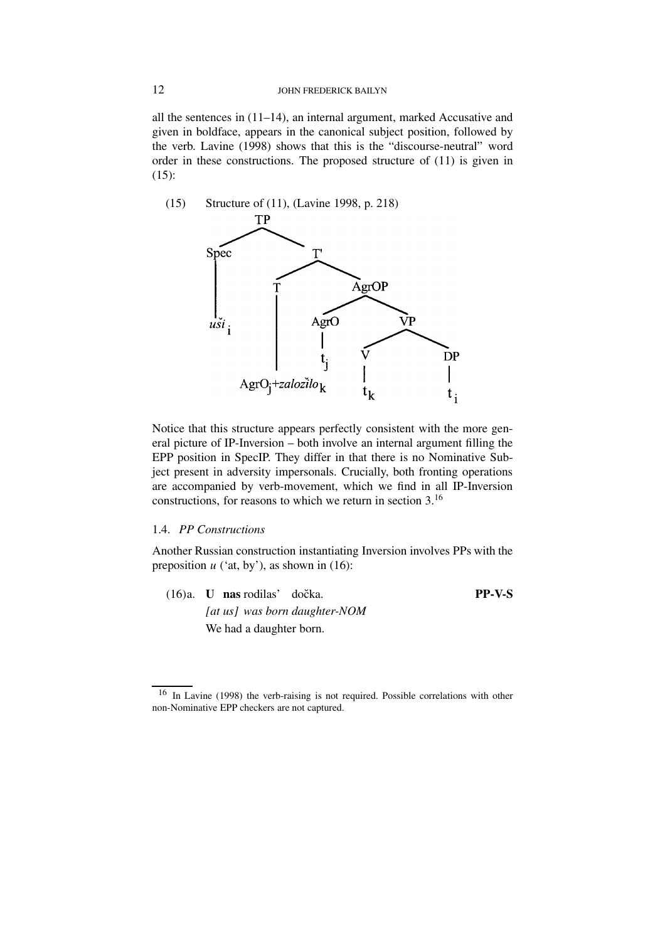all the sentences in (11–14), an internal argument, marked Accusative and given in boldface, appears in the canonical subject position, followed by the verb. Lavine (1998) shows that this is the "discourse-neutral" word order in these constructions. The proposed structure of (11) is given in (15):



Notice that this structure appears perfectly consistent with the more general picture of IP-Inversion – both involve an internal argument filling the EPP position in SpecIP. They differ in that there is no Nominative Subject present in adversity impersonals. Crucially, both fronting operations are accompanied by verb-movement, which we find in all IP-Inversion constructions, for reasons to which we return in section 3.<sup>16</sup>

#### 1.4. *PP Constructions*

Another Russian construction instantiating Inversion involves PPs with the preposition *u* ('at, by'), as shown in (16):

*(*16*)*a. **U nas** rodilas' docka. ˘ *[at us] was born daughter-NOM* **PP-V-S** We had a daughter born.

<sup>16</sup> In Lavine (1998) the verb-raising is not required. Possible correlations with other non-Nominative EPP checkers are not captured.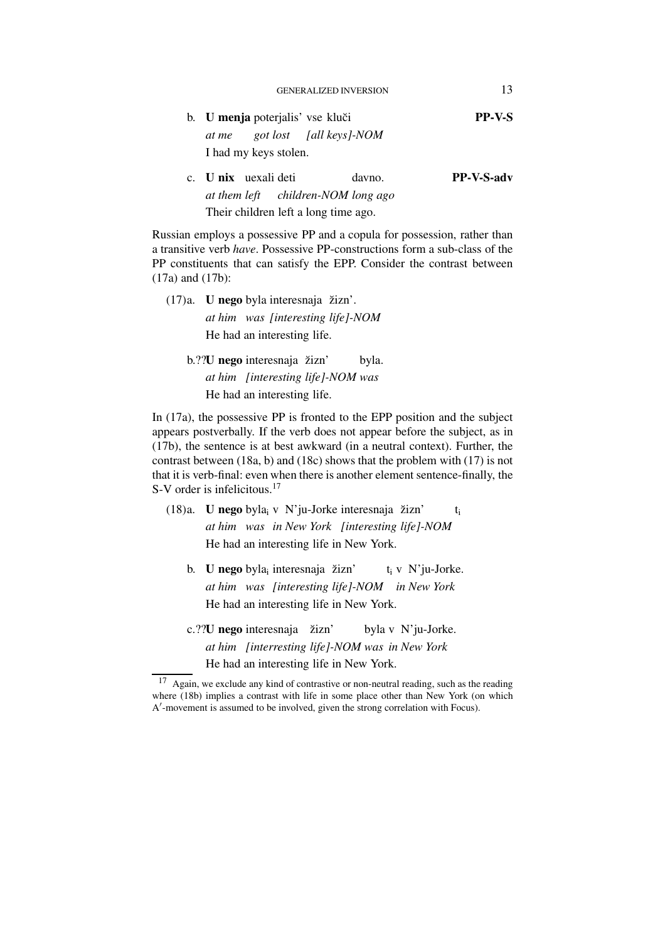- b. **U** menja poterjalis' vse kluči *at me got lost [all keys]-NOM* **PP-V-S** I had my keys stolen. c. **U nix** uexali deti davno. **PP-V-S-adv**
- *at them left children-NOM long ago* Their children left a long time ago.

Russian employs a possessive PP and a copula for possession, rather than a transitive verb *have*. Possessive PP-constructions form a sub-class of the PP constituents that can satisfy the EPP. Consider the contrast between (17a) and (17b):

*(*17*)*a. **U nego** byla interesnaja zizn'. ˘ *at him was [interesting life]-NOM* He had an interesting life. byla.

b.??**U** nego interesnaja žizn' *at him [interesting life]-NOM was* He had an interesting life.

In (17a), the possessive PP is fronted to the EPP position and the subject appears postverbally. If the verb does not appear before the subject, as in (17b), the sentence is at best awkward (in a neutral context). Further, the contrast between (18a, b) and (18c) shows that the problem with (17) is not that it is verb-final: even when there is another element sentence-finally, the S-V order is infelicitous.<sup>17</sup>

- (18)a. **U** nego byla<sub>i</sub> v N'ju-Jorke interesnaja žizn' *at him was in New York [interesting life]-NOM* ti He had an interesting life in New York.
	- b. **U** nego byla<sub>i</sub> interesnaja žizn' *at him was [interesting life]-NOM in New York*  $t_i$  v  $N$ 'ju-Jorke. He had an interesting life in New York.
	- c.??**U** nego interesnaja žizn' *at him [interresting life]-NOM was in New York* byla v N'ju-Jorke. He had an interesting life in New York.

<sup>&</sup>lt;sup>17</sup> Again, we exclude any kind of contrastive or non-neutral reading, such as the reading where (18b) implies a contrast with life in some place other than New York (on which A -movement is assumed to be involved, given the strong correlation with Focus).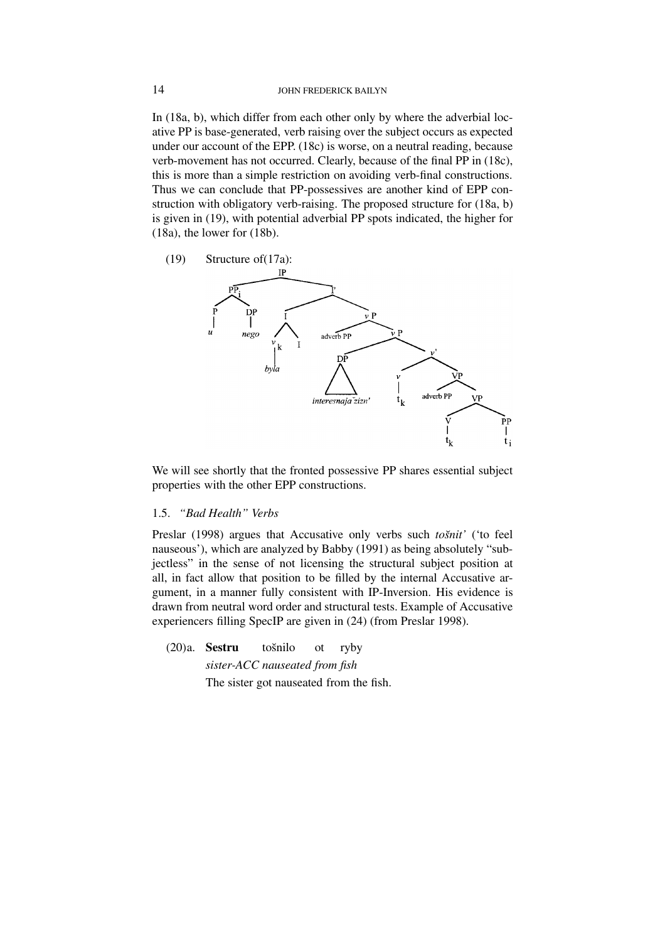In (18a, b), which differ from each other only by where the adverbial locative PP is base-generated, verb raising over the subject occurs as expected under our account of the EPP. (18c) is worse, on a neutral reading, because verb-movement has not occurred. Clearly, because of the final PP in (18c), this is more than a simple restriction on avoiding verb-final constructions. Thus we can conclude that PP-possessives are another kind of EPP construction with obligatory verb-raising. The proposed structure for (18a, b) is given in (19), with potential adverbial PP spots indicated, the higher for (18a), the lower for (18b).





We will see shortly that the fronted possessive PP shares essential subject properties with the other EPP constructions.

### 1.5. *"Bad Health" Verbs*

Preslar (1998) argues that Accusative only verbs such *tošnit'* ('to feel nauseous'), which are analyzed by Babby (1991) as being absolutely "subjectless" in the sense of not licensing the structural subject position at all, in fact allow that position to be filled by the internal Accusative argument, in a manner fully consistent with IP-Inversion. His evidence is drawn from neutral word order and structural tests. Example of Accusative experiencers filling SpecIP are given in (24) (from Preslar 1998).

*(*20*)*a. **Sestru** *sister-ACC nauseated from fish* tošnilo ot ryby The sister got nauseated from the fish.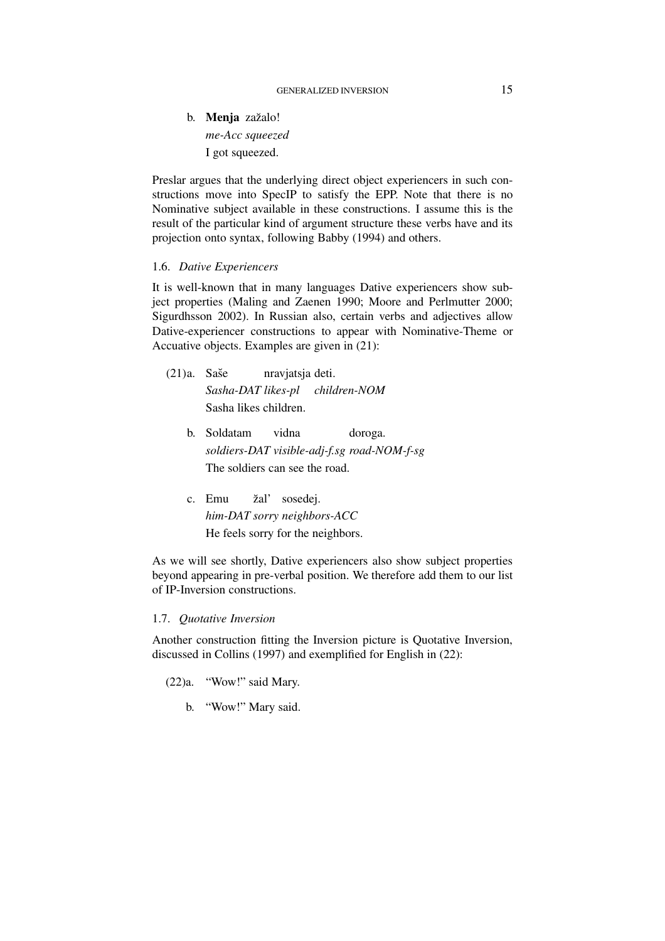b. **Menja** zažalo!

*me-Acc squeezed* I got squeezed.

Preslar argues that the underlying direct object experiencers in such constructions move into SpecIP to satisfy the EPP. Note that there is no Nominative subject available in these constructions. I assume this is the result of the particular kind of argument structure these verbs have and its projection onto syntax, following Babby (1994) and others.

#### 1.6. *Dative Experiencers*

It is well-known that in many languages Dative experiencers show subject properties (Maling and Zaenen 1990; Moore and Perlmutter 2000; Sigurdhsson 2002). In Russian also, certain verbs and adjectives allow Dative-experiencer constructions to appear with Nominative-Theme or Accuative objects. Examples are given in (21):

- *(*21*)*a. Sase˘ *Sasha-DAT likes-pl children-NOM* nravjatsja deti. Sasha likes children.
	- b. Soldatam *soldiers-DAT visible-adj-f.sg road-NOM-f-sg* vidna doroga. The soldiers can see the road.
	- c. Emu *him-DAT sorry neighbors-ACC* žal' sosedej. He feels sorry for the neighbors.

As we will see shortly, Dative experiencers also show subject properties beyond appearing in pre-verbal position. We therefore add them to our list of IP-Inversion constructions.

#### 1.7. *Quotative Inversion*

Another construction fitting the Inversion picture is Quotative Inversion, discussed in Collins (1997) and exemplified for English in (22):

(22)a. "Wow!" said Mary.

b. "Wow!" Mary said.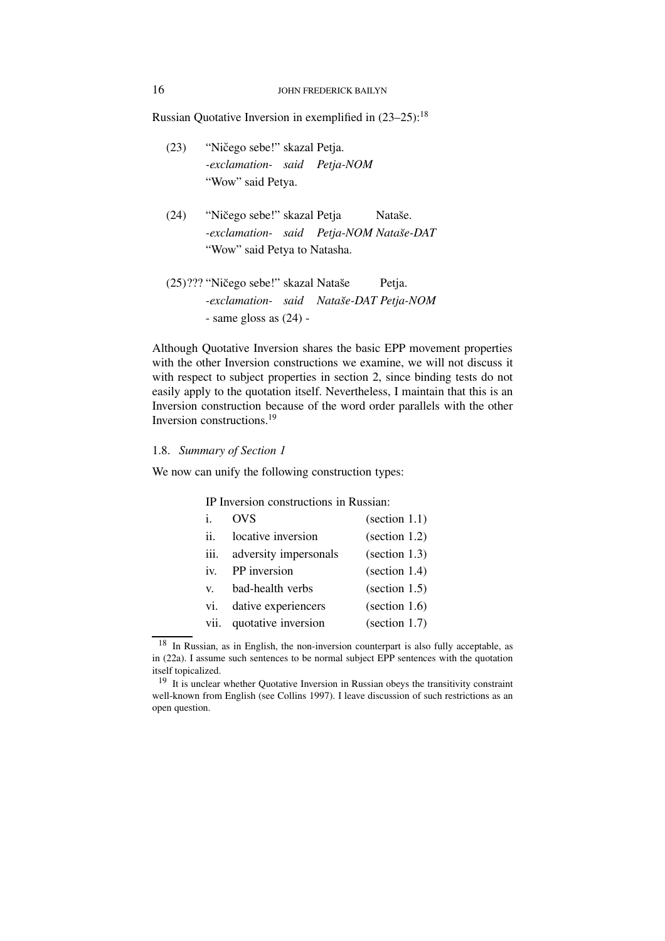Russian Quotative Inversion in exemplified in (23–25):18

- (23) "Ničego sebe!" skazal Petja. *-exclamation-said Petja-NOM* "Wow" said Petya.
- (24) "Ničego sebe!" skazal Petja *-exclamation-said Petja-NOM Natase-DAT ˘* Nataše. "Wow" said Petya to Natasha.
- (25)??? "Ničego sebe!" skazal Nataše *-exclamation-said Natase-DAT ˘ Petja-NOM* Petja. - same gloss as (24) -

Although Quotative Inversion shares the basic EPP movement properties with the other Inversion constructions we examine, we will not discuss it with respect to subject properties in section 2, since binding tests do not easily apply to the quotation itself. Nevertheless, I maintain that this is an Inversion construction because of the word order parallels with the other Inversion constructions.<sup>19</sup>

### 1.8. *Summary of Section 1*

We now can unify the following construction types:

IP Inversion constructions in Russian:

|                 | <b>OVS</b>            | $\left($ section 1.1) |
|-----------------|-----------------------|-----------------------|
| $ii$ .          | locative inversion    | $\left($ section 1.2) |
| iii.            | adversity impersonals | $\left($ section 1.3) |
| 1V <sub>1</sub> | PP inversion          | $\left($ section 1.4) |
| V.              | bad-health verbs      | $\left($ section 1.5) |
| vi.             | dative experiencers   | $\left($ section 1.6) |
| V11.            | quotative inversion   | $\left($ section 1.7) |

<sup>18</sup> In Russian, as in English, the non-inversion counterpart is also fully acceptable, as in (22a). I assume such sentences to be normal subject EPP sentences with the quotation itself topicalized.

<sup>&</sup>lt;sup>19</sup> It is unclear whether Quotative Inversion in Russian obeys the transitivity constraint well-known from English (see Collins 1997). I leave discussion of such restrictions as an open question.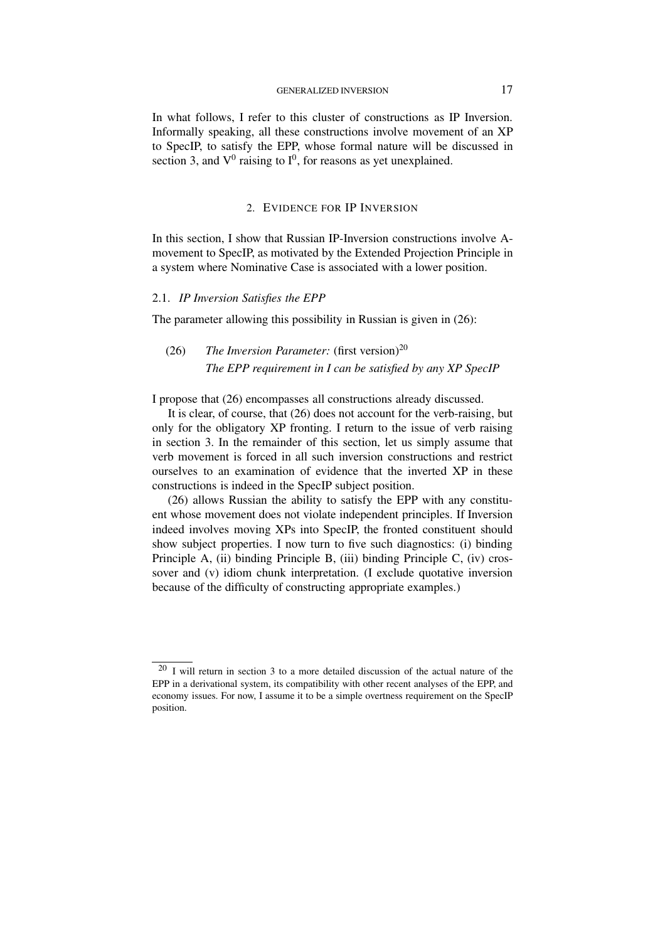#### GENERALIZED INVERSION 17

In what follows, I refer to this cluster of constructions as IP Inversion. Informally speaking, all these constructions involve movement of an XP to SpecIP, to satisfy the EPP, whose formal nature will be discussed in section 3, and  $V^0$  raising to  $I^0$ , for reasons as yet unexplained.

### 2. EVIDENCE FOR IP INVERSION

In this section, I show that Russian IP-Inversion constructions involve Amovement to SpecIP, as motivated by the Extended Projection Principle in a system where Nominative Case is associated with a lower position.

### 2.1. *IP Inversion Satisfies the EPP*

The parameter allowing this possibility in Russian is given in (26):

# (26) *The Inversion Parameter:* (first version)20 *The EPP requirement in I can be satisfied by any XP SpecIP*

I propose that (26) encompasses all constructions already discussed.

It is clear, of course, that (26) does not account for the verb-raising, but only for the obligatory XP fronting. I return to the issue of verb raising in section 3. In the remainder of this section, let us simply assume that verb movement is forced in all such inversion constructions and restrict ourselves to an examination of evidence that the inverted XP in these constructions is indeed in the SpecIP subject position.

(26) allows Russian the ability to satisfy the EPP with any constituent whose movement does not violate independent principles. If Inversion indeed involves moving XPs into SpecIP, the fronted constituent should show subject properties. I now turn to five such diagnostics: (i) binding Principle A, (ii) binding Principle B, (iii) binding Principle C, (iv) crossover and (v) idiom chunk interpretation. (I exclude quotative inversion because of the difficulty of constructing appropriate examples.)

 $\frac{20}{1}$  will return in section 3 to a more detailed discussion of the actual nature of the EPP in a derivational system, its compatibility with other recent analyses of the EPP, and economy issues. For now, I assume it to be a simple overtness requirement on the SpecIP position.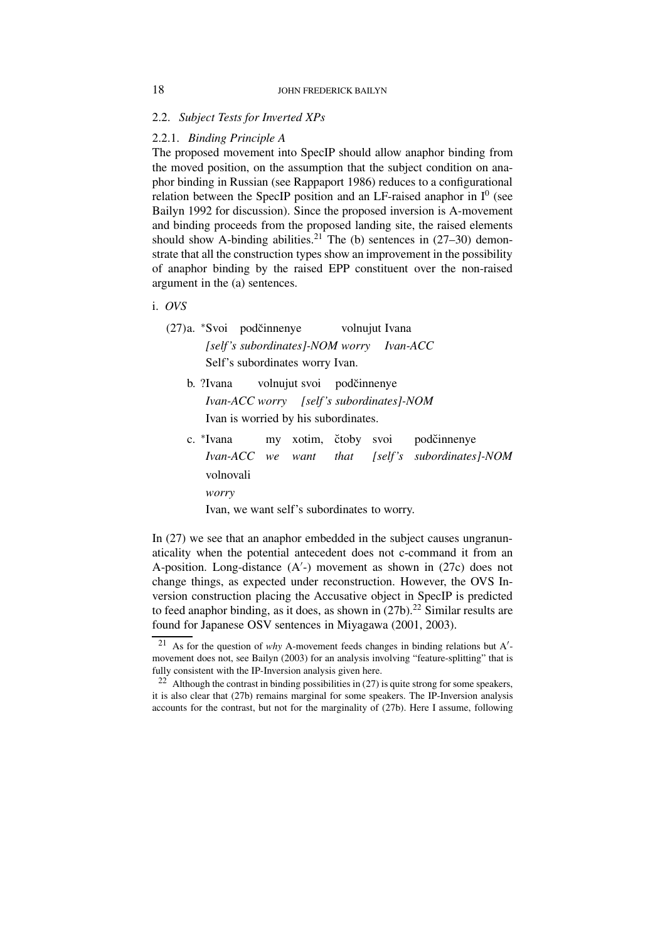### 2.2. *Subject Tests for Inverted XPs*

#### 2.2.1. *Binding Principle A*

The proposed movement into SpecIP should allow anaphor binding from the moved position, on the assumption that the subject condition on anaphor binding in Russian (see Rappaport 1986) reduces to a configurational relation between the SpecIP position and an LF-raised anaphor in  $I^0$  (see Bailyn 1992 for discussion). Since the proposed inversion is A-movement and binding proceeds from the proposed landing site, the raised elements should show A-binding abilities.<sup>21</sup> The (b) sentences in  $(27-30)$  demonstrate that all the construction types show an improvement in the possibility of anaphor binding by the raised EPP constituent over the non-raised argument in the (a) sentences.

#### i. *OVS*

- *(*27*)*a. <sup>∗</sup>Svoi podcinnenye ˘ *[self's subordinates]-NOM worry Ivan-ACC* volnujut Ivana Self's subordinates worry Ivan.
	- b. ?Ivana *Ivan-ACC worry [self's subordinates]-NOM* volnujut svoi podčinnenye Ivan is worried by his subordinates.
	- c. <sup>∗</sup>Ivana *Ivan-ACC we* my xotim, *want* čtoby *that* svoi *[self's subordinates]-NOM* podčinnenye volnovali *worry* Ivan, we want self's subordinates to worry.

In (27) we see that an anaphor embedded in the subject causes ungranunaticality when the potential antecedent does not c-command it from an A-position. Long-distance (A -) movement as shown in (27c) does not change things, as expected under reconstruction. However, the OVS Inversion construction placing the Accusative object in SpecIP is predicted to feed anaphor binding, as it does, as shown in  $(27b)$ .<sup>22</sup> Similar results are found for Japanese OSV sentences in Miyagawa (2001, 2003).

<sup>&</sup>lt;sup>21</sup> As for the question of *why* A-movement feeds changes in binding relations but  $A'$ movement does not, see Bailyn (2003) for an analysis involving "feature-splitting" that is fully consistent with the IP-Inversion analysis given here.

<sup>&</sup>lt;sup>22</sup> Although the contrast in binding possibilities in (27) is quite strong for some speakers, it is also clear that (27b) remains marginal for some speakers. The IP-Inversion analysis accounts for the contrast, but not for the marginality of (27b). Here I assume, following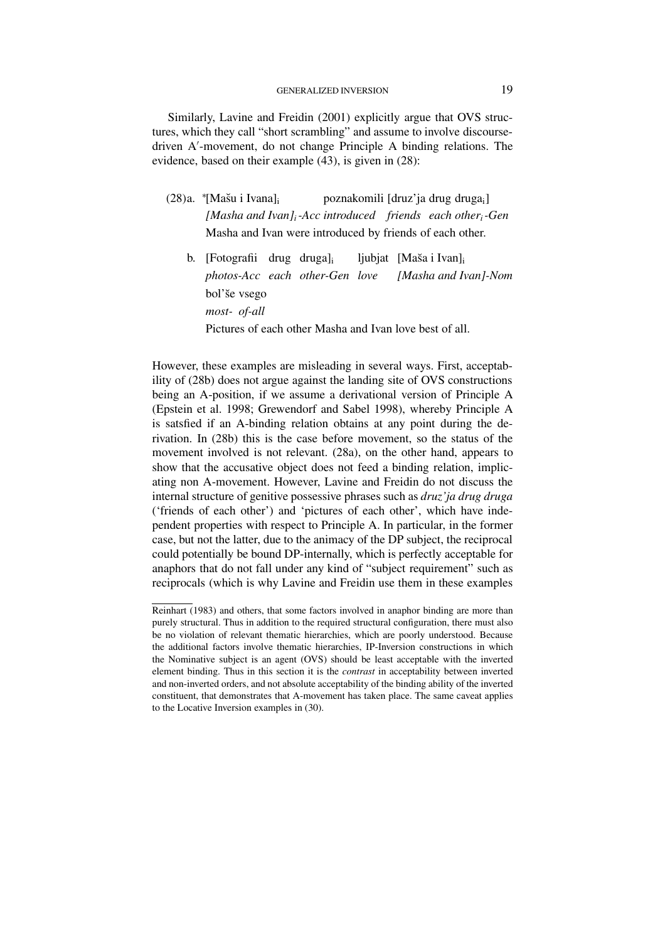#### GENERALIZED INVERSION 19

Similarly, Lavine and Freidin (2001) explicitly argue that OVS structures, which they call "short scrambling" and assume to involve discoursedriven A -movement, do not change Principle A binding relations. The evidence, based on their example (43), is given in (28):

- (28)a. <sup>\*</sup>[Mašu i Ivana]<sub>i</sub> *[Masha and Ivan]i-Acc introduced friends each otheri-Gen* poznakomili [druz'ja drug druga<sub>i</sub>] Masha and Ivan were introduced by friends of each other.
	- b. [Fotografii drug druga]i *photos-Acc each other-Gen love* ljubjat [Maša i Ivan]<sub>i</sub> *[Masha and Ivan]-Nom* bol'še vsego *most-of-all* Pictures of each other Masha and Ivan love best of all.

However, these examples are misleading in several ways. First, acceptability of (28b) does not argue against the landing site of OVS constructions being an A-position, if we assume a derivational version of Principle A (Epstein et al. 1998; Grewendorf and Sabel 1998), whereby Principle A is satsfied if an A-binding relation obtains at any point during the derivation. In (28b) this is the case before movement, so the status of the movement involved is not relevant. (28a), on the other hand, appears to show that the accusative object does not feed a binding relation, implicating non A-movement. However, Lavine and Freidin do not discuss the internal structure of genitive possessive phrases such as *druz'ja drug druga* ('friends of each other') and 'pictures of each other', which have independent properties with respect to Principle A. In particular, in the former case, but not the latter, due to the animacy of the DP subject, the reciprocal could potentially be bound DP-internally, which is perfectly acceptable for anaphors that do not fall under any kind of "subject requirement" such as reciprocals (which is why Lavine and Freidin use them in these examples

Reinhart (1983) and others, that some factors involved in anaphor binding are more than purely structural. Thus in addition to the required structural configuration, there must also be no violation of relevant thematic hierarchies, which are poorly understood. Because the additional factors involve thematic hierarchies, IP-Inversion constructions in which the Nominative subject is an agent (OVS) should be least acceptable with the inverted element binding. Thus in this section it is the *contrast* in acceptability between inverted and non-inverted orders, and not absolute acceptability of the binding ability of the inverted constituent, that demonstrates that A-movement has taken place. The same caveat applies to the Locative Inversion examples in (30).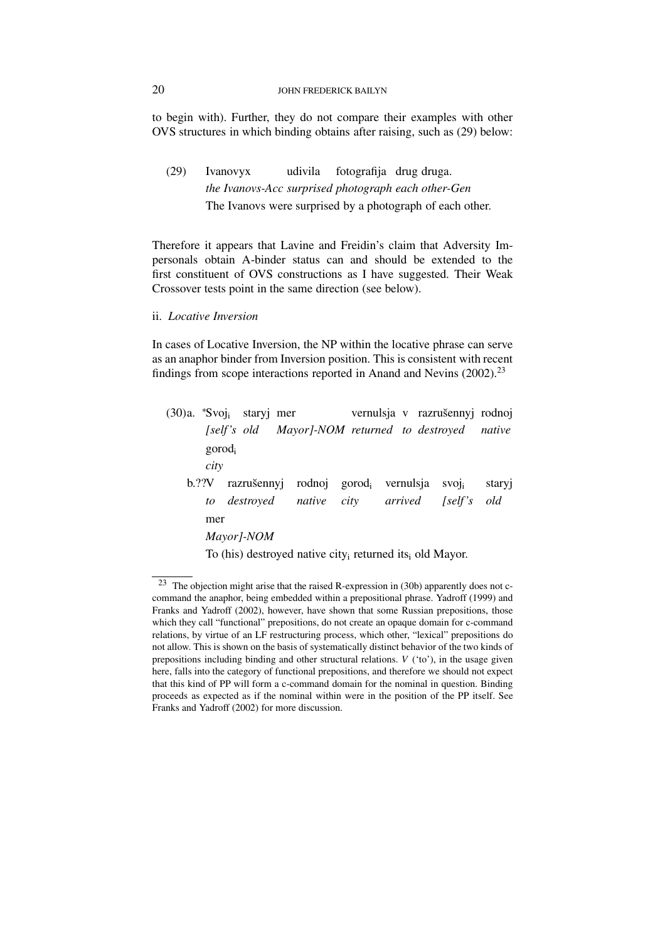to begin with). Further, they do not compare their examples with other OVS structures in which binding obtains after raising, such as (29) below:

*(*29*)* Ivanovyx *the Ivanovs-Acc surprised photograph each other-Gen* udivila fotografija drug druga. The Ivanovs were surprised by a photograph of each other.

Therefore it appears that Lavine and Freidin's claim that Adversity Impersonals obtain A-binder status can and should be extended to the first constituent of OVS constructions as I have suggested. Their Weak Crossover tests point in the same direction (see below).

ii. *Locative Inversion*

In cases of Locative Inversion, the NP within the locative phrase can serve as an anaphor binder from Inversion position. This is consistent with recent findings from scope interactions reported in Anand and Nevins (2002).<sup>23</sup>

|                    |            | $(30)a.$ *Svoj <sub>i</sub> staryj mer                                                                                  |                                                 | vernulsja v razrušennyj rodnoj |        |
|--------------------|------------|-------------------------------------------------------------------------------------------------------------------------|-------------------------------------------------|--------------------------------|--------|
|                    |            | [self's old Mayor]-NOM returned to destroyed native                                                                     |                                                 |                                |        |
| $\text{gorod}_{i}$ |            |                                                                                                                         |                                                 |                                |        |
| city               |            |                                                                                                                         |                                                 |                                |        |
|                    |            | $b.^{?}$ razrušennyj rodnoj gorod <sub>i</sub> vernulsja svoj <sub>i</sub>                                              |                                                 |                                | staryj |
|                    |            | to destroyed native city arrived [self's old                                                                            |                                                 |                                |        |
| mer                |            |                                                                                                                         |                                                 |                                |        |
|                    | Mayor]-NOM |                                                                                                                         |                                                 |                                |        |
|                    |            | — <i>портивал в портиватель</i> в соответство на соответство на соответство на соответство на соответство на соответств | the contract of the contract of the contract of |                                |        |

To (his) destroyed native city<sub>i</sub> returned its<sub>i</sub> old Mayor.

 $\frac{23}{23}$  The objection might arise that the raised R-expression in (30b) apparently does not ccommand the anaphor, being embedded within a prepositional phrase. Yadroff (1999) and Franks and Yadroff (2002), however, have shown that some Russian prepositions, those which they call "functional" prepositions, do not create an opaque domain for c-command relations, by virtue of an LF restructuring process, which other, "lexical" prepositions do not allow. This is shown on the basis of systematically distinct behavior of the two kinds of prepositions including binding and other structural relations. *V* ('to'), in the usage given here, falls into the category of functional prepositions, and therefore we should not expect that this kind of PP will form a c-command domain for the nominal in question. Binding proceeds as expected as if the nominal within were in the position of the PP itself. See Franks and Yadroff (2002) for more discussion.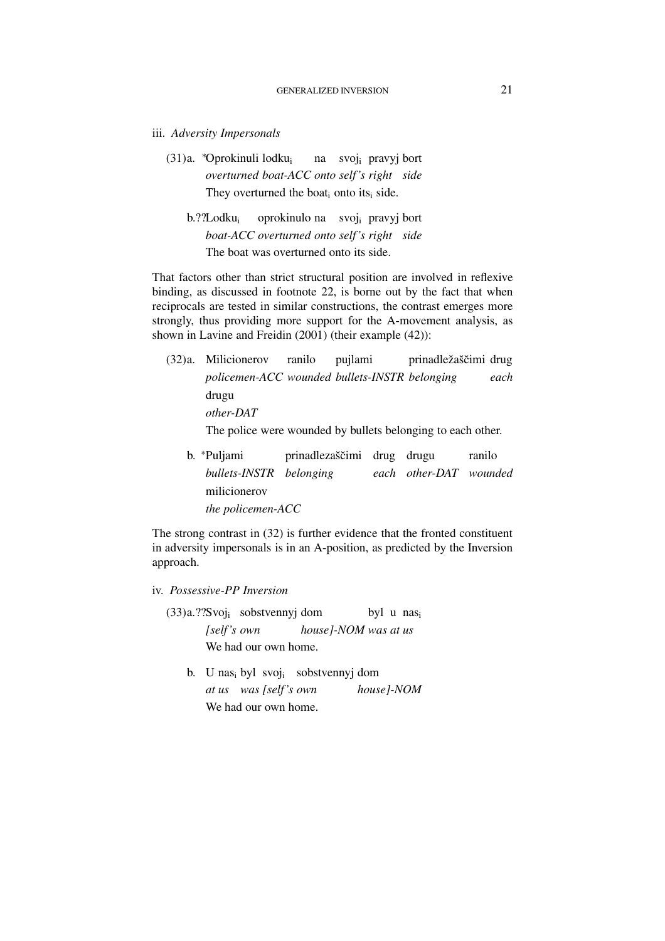- iii. *Adversity Impersonals*
	- *(*31*)*a. <sup>∗</sup> Oprokinuli lodkui *overturned boat-ACC onto self's right side* na svoji pravyj bort They overturned the boat<sub>i</sub> onto its<sub>i</sub> side.
		- b.??Lodkui *boat-ACC overturned onto self's right side* oprokinulo na svoji pravyj bort The boat was overturned onto its side.

That factors other than strict structural position are involved in reflexive binding, as discussed in footnote 22, is borne out by the fact that when reciprocals are tested in similar constructions, the contrast emerges more strongly, thus providing more support for the A-movement analysis, as shown in Lavine and Freidin (2001) (their example (42)):

- *(*32*)*a. Milicionerov *policemen-ACC wounded bullets-INSTR belonging* ranilo pujlami prinadležaščimi drug *each* drugu *other-DAT* The police were wounded by bullets belonging to each other.
	- b. <sup>∗</sup>Puljami *bullets-INSTR belonging* prinadlezaščimi drug drugu *each other-DAT wounded* ranilo milicionerov *the policemen-ACC*

The strong contrast in (32) is further evidence that the fronted constituent in adversity impersonals is in an A-position, as predicted by the Inversion approach.

- iv. *Possessive-PP Inversion*
	- *(*33*)*a.??Svoji sobstvennyj dom *[self's own house]-NOM was at us* byl u nasi We had our own home.
		- b. U nas<sub>i</sub> byl svoj<sub>i</sub> sobstvennyj dom *at us was [self's own house]-NOM* We had our own home.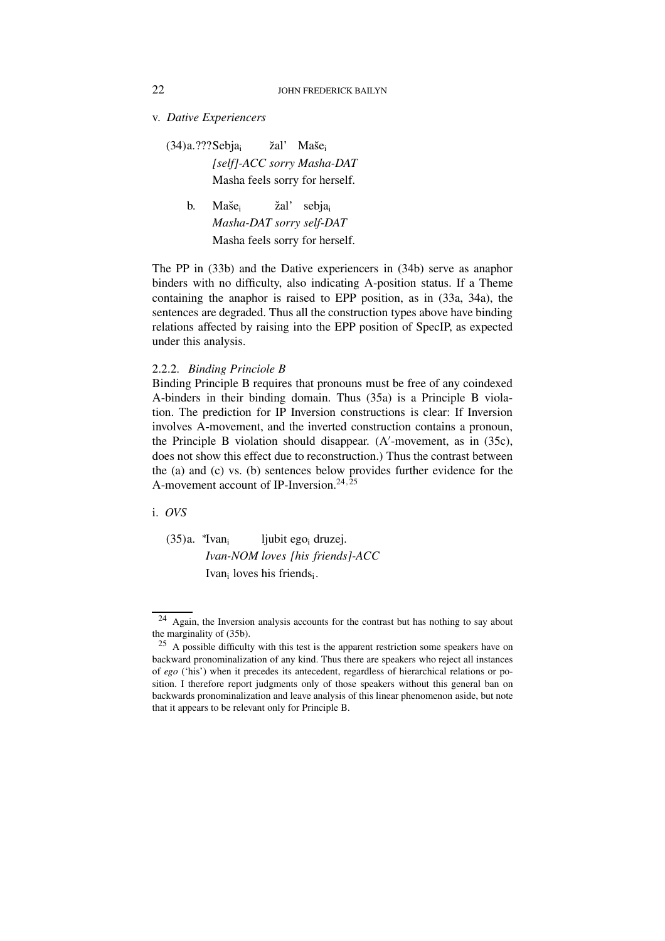v. *Dative Experiencers*

*(*34*)*a.???Sebjai *[self]-ACC sorry Masha-DAT* žal' Maše<sub>i</sub> Masha feels sorry for herself.

> b. Maše<sub>i</sub> *Masha-DAT sorry self-DAT* žal' sebja<sub>i</sub> Masha feels sorry for herself.

The PP in (33b) and the Dative experiencers in (34b) serve as anaphor binders with no difficulty, also indicating A-position status. If a Theme containing the anaphor is raised to EPP position, as in (33a, 34a), the sentences are degraded. Thus all the construction types above have binding relations affected by raising into the EPP position of SpecIP, as expected under this analysis.

#### 2.2.2. *Binding Princiole B*

Binding Principle B requires that pronouns must be free of any coindexed A-binders in their binding domain. Thus (35a) is a Principle B violation. The prediction for IP Inversion constructions is clear: If Inversion involves A-movement, and the inverted construction contains a pronoun, the Principle B violation should disappear. (A -movement, as in (35c), does not show this effect due to reconstruction.) Thus the contrast between the (a) and (c) vs. (b) sentences below provides further evidence for the A-movement account of IP-Inversion.<sup>24</sup>*,*<sup>25</sup>

i. *OVS*

*(*35*)*a. <sup>∗</sup> Ivani *Ivan-NOM loves [his friends]-ACC* ljubit ego<sub>i</sub> druzej. Ivani loves his friendsi.

<sup>24</sup> Again, the Inversion analysis accounts for the contrast but has nothing to say about the marginality of (35b).

 $25$  A possible difficulty with this test is the apparent restriction some speakers have on backward pronominalization of any kind. Thus there are speakers who reject all instances of *ego* ('his') when it precedes its antecedent, regardless of hierarchical relations or position. I therefore report judgments only of those speakers without this general ban on backwards pronominalization and leave analysis of this linear phenomenon aside, but note that it appears to be relevant only for Principle B.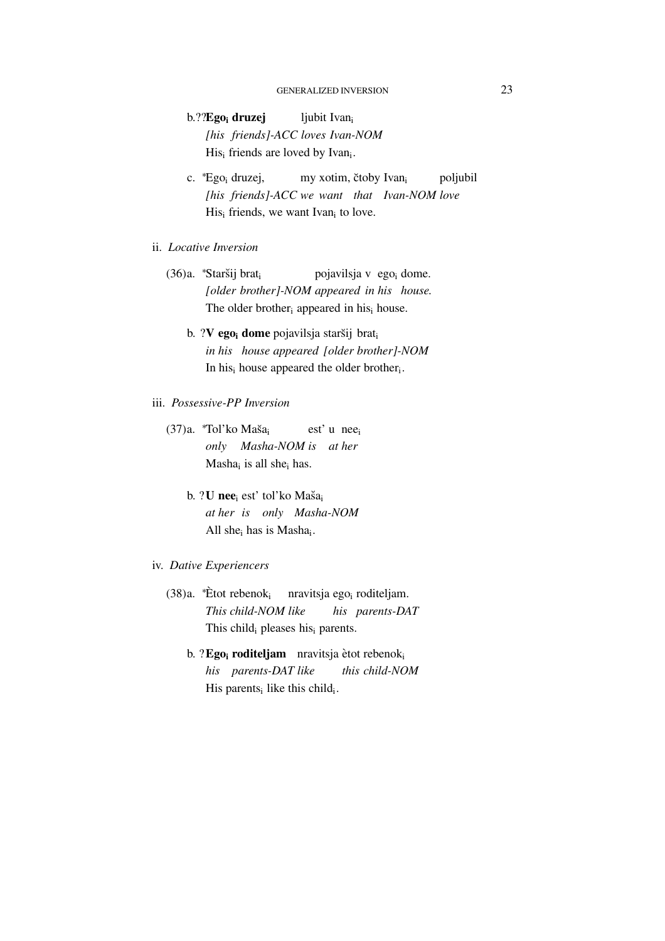b.??**Egoi druzej** *[his friends]-ACC loves Ivan-NOM* ljubit Ivan<sub>i</sub>  $His<sub>i</sub>$  friends are loved by Ivan<sub>i</sub>.

- c. <sup>∗</sup>Ego<sub>i</sub> druzej, *[his friends]-ACC we want that Ivan-NOM love* my xotim, čtoby Ivan<sub>i</sub> poljubil  $His<sub>i</sub>$  friends, we want Ivan<sub>i</sub> to love.
- ii. *Locative Inversion*
	- (36)a. \*Staršij brat<sub>i</sub> *[older brother]-NOM appeared in his house.* pojavilsja v ego<sub>i</sub> dome. The older brother<sub>i</sub> appeared in his<sub>i</sub> house.
		- b. ?**V ego<sub>i</sub> dome** pojavilsja staršij brat<sub>i</sub> *in his house appeared [older brother]-NOM* In his $_{i}$  house appeared the older brother $_{i}$ .
- iii. *Possessive-PP Inversion*
	- (37)a. \*Tol'ko Maša<sub>i</sub> *only Masha-NOM is at her* est' u neei Masha $_{i}$  is all she<sub>i</sub> has.
		- b. ?**U nee**<sub>i</sub> est' tol'ko Maša<sub>i</sub> *at her is only Masha-NOM* All she<sub>i</sub> has is Masha<sub>i</sub>.
- iv. *Dative Experiencers*
	- (38)a. \*Ètot rebenok<sub>i</sub> *This child-NOM like* nravitsja ego<sub>i</sub> roditeljam. *his parents-DAT* This child<sub>i</sub> pleases his<sub>i</sub> parents.
		- b. ? **Ego<sub>i</sub> roditeljam** nravitsja ètot rebenok<sub>i</sub> *his parents-DAT like this child-NOM* His parents<sub>i</sub> like this child<sub>i</sub>.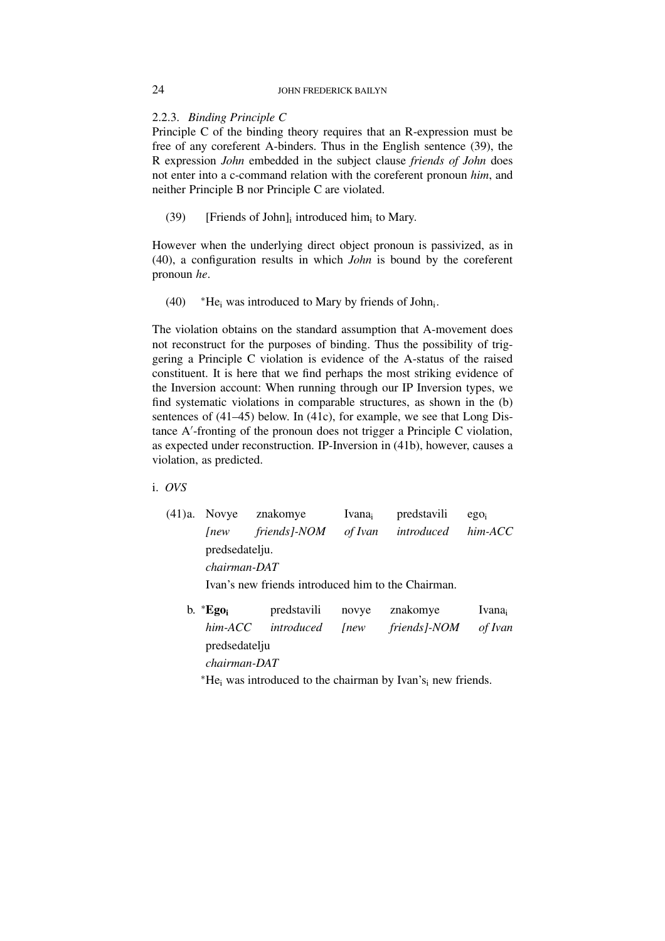2.2.3. *Binding Principle C*

Principle C of the binding theory requires that an R-expression must be free of any coreferent A-binders. Thus in the English sentence (39), the R expression *John* embedded in the subject clause *friends of John* does not enter into a c-command relation with the coreferent pronoun *him*, and neither Principle B nor Principle C are violated.

(39) [Friends of John]<sub>i</sub> introduced him<sub>i</sub> to Mary.

However when the underlying direct object pronoun is passivized, as in (40), a configuration results in which *John* is bound by the coreferent pronoun *he*.

(40)  $*He_i$  was introduced to Mary by friends of John.

The violation obtains on the standard assumption that A-movement does not reconstruct for the purposes of binding. Thus the possibility of triggering a Principle C violation is evidence of the A-status of the raised constituent. It is here that we find perhaps the most striking evidence of the Inversion account: When running through our IP Inversion types, we find systematic violations in comparable structures, as shown in the (b) sentences of (41–45) below. In (41c), for example, we see that Long Distance A -fronting of the pronoun does not trigger a Principle C violation, as expected under reconstruction. IP-Inversion in (41b), however, causes a violation, as predicted.

i. *OVS*

*(*41*)*a. Novye *[new* znakomye *friends]-NOM* Ivanai *of Ivan* predstavili *introduced* egoi *him-ACC* predsedatelju. *chairman-DAT* Ivan's new friends introduced him to the Chairman.

b. <sup>∗</sup>**Egoi** *him-ACC* predstavili *introduced* novye *[new* znakomye *friends]-NOM* Ivanai *of Ivan* predsedatelju *chairman-DAT*

<sup>∗</sup>Hei was introduced to the chairman by Ivan'si new friends.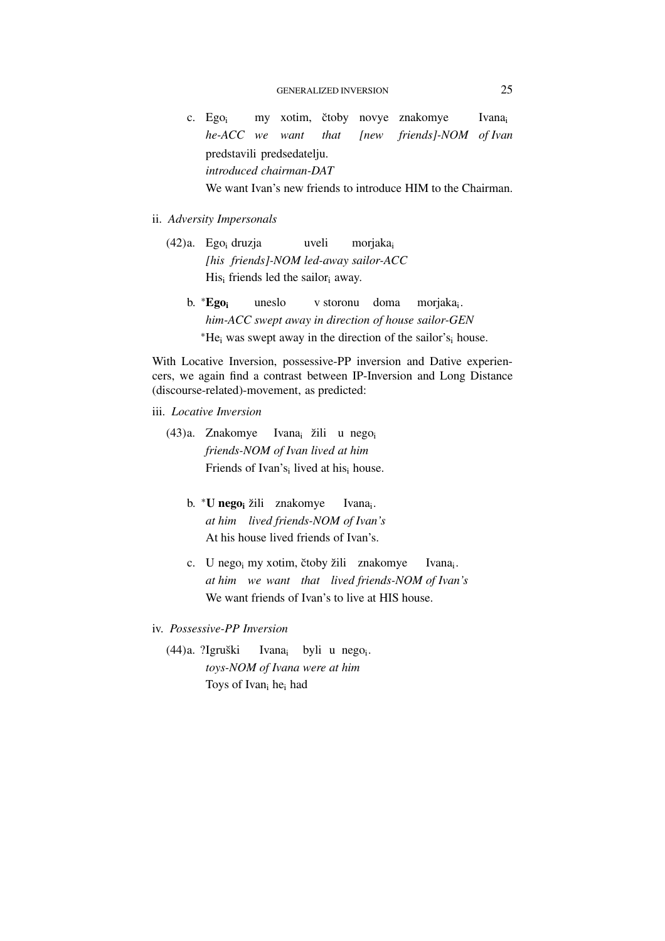- c. Egoi *he-ACC we want* my xotim, čtoby novye znakomye *that [new friends]-NOM of Ivan* Ivanai predstavili predsedatelju. *introduced chairman-DAT* We want Ivan's new friends to introduce HIM to the Chairman.
- ii. *Adversity Impersonals*
	- *(*42*)*a. Egoi druzja *[his friends]-NOM led-away sailor-ACC* uveli morjakai  $His<sub>i</sub>$  friends led the sailor<sub>i</sub> away.
		- b. <sup>∗</sup>**Egoi** *him-ACC swept away in direction of house sailor-GEN* uneslo v storonu doma morjakai. <sup>∗</sup>Hei was swept away in the direction of the sailor'si house.

With Locative Inversion, possessive-PP inversion and Dative experiencers, we again find a contrast between IP-Inversion and Long Distance (discourse-related)-movement, as predicted:

- iii. *Locative Inversion*
	- *(*43*)*a. Znakomye *friends-NOM of Ivan lived at him* Ivana<sub>i</sub> žili u nego<sub>i</sub> Friends of Ivan's<sub>i</sub> lived at his<sub>i</sub> house.
		- b. <sup>∗</sup>**U nego<sub>i</sub> žili ⊥znakomye** *at him lived friends-NOM of Ivan's* Ivana<sub>i</sub>. At his house lived friends of Ivan's.
		- c. U nego<sub>i</sub> my xotim, čtoby žili znakomye *at him we want that lived friends-NOM of Ivan's* Ivana<sub>i</sub>. We want friends of Ivan's to live at HIS house.
- iv. *Possessive-PP Inversion*
	- *(*44*)*a. ?Igruski ˘ *toys-NOM of Ivana were at him* Ivana<sub>i</sub> byli u nego<sub>i</sub>. Toys of Ivan<sub>i</sub> he<sub>i</sub> had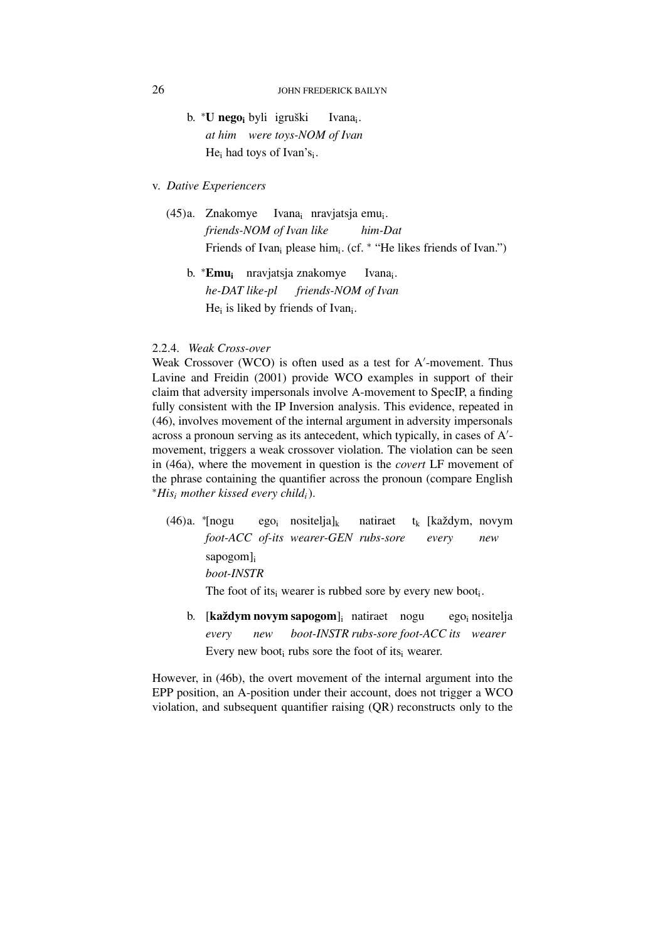- b. \***U nego<sub>i</sub>** byli igruški *at him were toys-NOM of Ivan* Ivanai. He<sub>i</sub> had toys of Ivan's<sub>i</sub>.
- v. *Dative Experiencers*
	- *(*45*)*a. Znakomye *friends-NOM of Ivan like* Ivana<sub>i</sub> nravjatsja emu<sub>i</sub>. *him-Dat* Friends of Ivan<sub>i</sub> please him<sub>i</sub>. (cf.  $*$  "He likes friends of Ivan.")
		- b. <sup>∗</sup>**Emu<sub>i</sub> πravjatsja znakomye** *he-DAT like-pl friends-NOM of Ivan* Ivana<sub>i</sub>. He<sub>i</sub> is liked by friends of Ivan<sub>i</sub>.

### 2.2.4. *Weak Cross-over*

Weak Crossover (WCO) is often used as a test for A -movement. Thus Lavine and Freidin (2001) provide WCO examples in support of their claim that adversity impersonals involve A-movement to SpecIP, a finding fully consistent with the IP Inversion analysis. This evidence, repeated in (46), involves movement of the internal argument in adversity impersonals across a pronoun serving as its antecedent, which typically, in cases of A movement, triggers a weak crossover violation. The violation can be seen in (46a), where the movement in question is the *covert* LF movement of the phrase containing the quantifier across the pronoun (compare English <sup>∗</sup>*His<sup>i</sup> mother kissed every childi*).

- *(*46*)*a. <sup>∗</sup> [nogu *foot-ACC of-its wearer-GEN rubs-sore* ego<sub>i</sub> nositelja]<sub>k</sub> natiraet t<sub>k</sub> [každym, novym *every new* sapogom]i *boot-INSTR* The foot of its<sub>i</sub> wearer is rubbed sore by every new boot<sub>i</sub>.
	- b. [**kazdym ˘ novym sapogom**]i natiraet nogu *every new boot-INSTR rubs-sore foot-ACC its wearer* ego<sub>i</sub> nositelja Every new boot<sub>i</sub> rubs sore the foot of its<sub>i</sub> wearer.

However, in (46b), the overt movement of the internal argument into the EPP position, an A-position under their account, does not trigger a WCO violation, and subsequent quantifier raising (QR) reconstructs only to the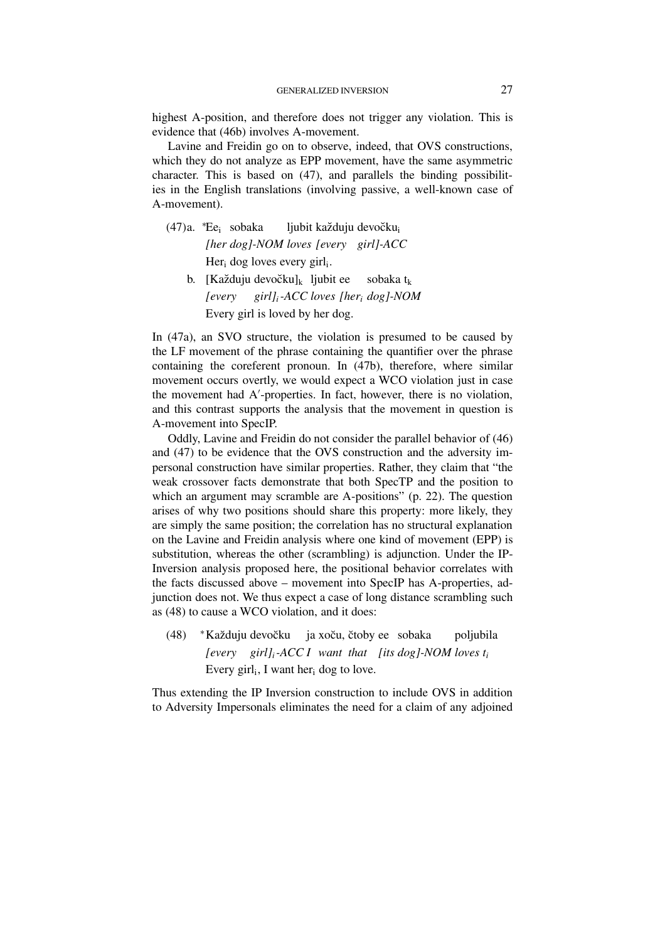highest A-position, and therefore does not trigger any violation. This is evidence that (46b) involves A-movement.

Lavine and Freidin go on to observe, indeed, that OVS constructions, which they do not analyze as EPP movement, have the same asymmetric character. This is based on (47), and parallels the binding possibilities in the English translations (involving passive, a well-known case of A-movement).

- *(*47*)*a. <sup>∗</sup> Eei sobaka *[her dog]-NOM loves [every girl]-ACC* ljubit každuju devočku<sub>i</sub> Her<sub>i</sub> dog loves every girl<sub>i</sub>.
	- b. [Každuju devočku] $_k$  ljubit ee sobaka t $_k$ *[every girl]i-ACC loves [her<sup>i</sup> dog]-NOM* Every girl is loved by her dog.

In (47a), an SVO structure, the violation is presumed to be caused by the LF movement of the phrase containing the quantifier over the phrase containing the coreferent pronoun. In (47b), therefore, where similar movement occurs overtly, we would expect a WCO violation just in case the movement had A -properties. In fact, however, there is no violation, and this contrast supports the analysis that the movement in question is A-movement into SpecIP.

Oddly, Lavine and Freidin do not consider the parallel behavior of (46) and (47) to be evidence that the OVS construction and the adversity impersonal construction have similar properties. Rather, they claim that "the weak crossover facts demonstrate that both SpecTP and the position to which an argument may scramble are A-positions" (p. 22). The question arises of why two positions should share this property: more likely, they are simply the same position; the correlation has no structural explanation on the Lavine and Freidin analysis where one kind of movement (EPP) is substitution, whereas the other (scrambling) is adjunction. Under the IP-Inversion analysis proposed here, the positional behavior correlates with the facts discussed above – movement into SpecIP has A-properties, adjunction does not. We thus expect a case of long distance scrambling such as (48) to cause a WCO violation, and it does:

(48) \*Každuju devočku ja xoču, čtoby ee sobaka *[every girl]i-ACC I want that [its dog]-NOM loves t<sup>i</sup>* poljubila Every girl<sub>i</sub>, I want her<sub>i</sub> dog to love.

Thus extending the IP Inversion construction to include OVS in addition to Adversity Impersonals eliminates the need for a claim of any adjoined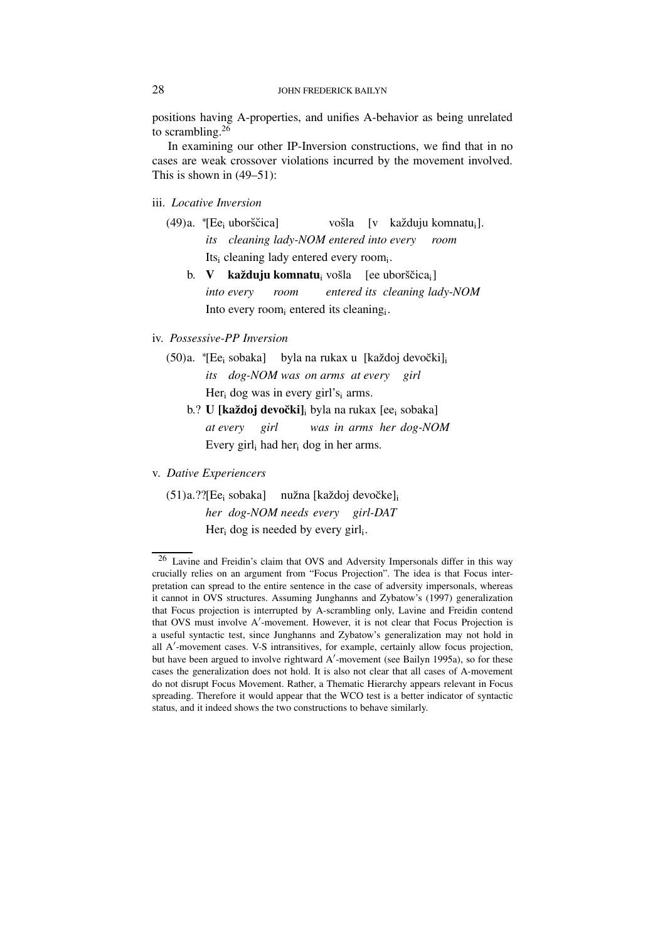positions having A-properties, and unifies A-behavior as being unrelated to scrambling.<sup>26</sup>

In examining our other IP-Inversion constructions, we find that in no cases are weak crossover violations incurred by the movement involved. This is shown in (49–51):

- iii. *Locative Inversion*
	- (49)a. \*[Ee<sub>i</sub> uborščica] *its cleaning lady-NOM entered into every* vošla [v každuju komnatu<sub>i</sub>]. *room* Its<sub>i</sub> cleaning lady entered every room<sub>i</sub>.
		- b. **V každuju komnatu**<sub>i</sub> vošla [ee uborščica<sub>i</sub>] *into every room entered its cleaning lady-NOM* Into every room<sub>i</sub> entered its cleaning<sub>i</sub>.
- iv. *Possessive-PP Inversion*
	- *(*50*)*a. <sup>∗</sup> [Eei sobaka] *its dog-NOM was on arms at every girl* byla na rukax u [každoj devočki]<sub>i</sub> Her<sub>i</sub> dog was in every girl's<sub>i</sub> arms.
		- b.? **U [každoj devočki]**<sub>i</sub> byla na rukax [ee<sub>i</sub> sobaka] *at every girl was in arms her dog-NOM* Every girli had heri dog in her arms.
- v. *Dative Experiencers*
	- (51)a.??[Ee<sub>i</sub> sobaka] nužna [každoj devočke]<sub>i</sub> *her dog-NOM needs every girl-DAT* Her<sub>i</sub> dog is needed by every girl<sub>i</sub>.

<sup>26</sup> Lavine and Freidin's claim that OVS and Adversity Impersonals differ in this way crucially relies on an argument from "Focus Projection". The idea is that Focus interpretation can spread to the entire sentence in the case of adversity impersonals, whereas it cannot in OVS structures. Assuming Junghanns and Zybatow's (1997) generalization that Focus projection is interrupted by A-scrambling only, Lavine and Freidin contend that OVS must involve A -movement. However, it is not clear that Focus Projection is a useful syntactic test, since Junghanns and Zybatow's generalization may not hold in all A -movement cases. V-S intransitives, for example, certainly allow focus projection, but have been argued to involve rightward A -movement (see Bailyn 1995a), so for these cases the generalization does not hold. It is also not clear that all cases of A-movement do not disrupt Focus Movement. Rather, a Thematic Hierarchy appears relevant in Focus spreading. Therefore it would appear that the WCO test is a better indicator of syntactic status, and it indeed shows the two constructions to behave similarly.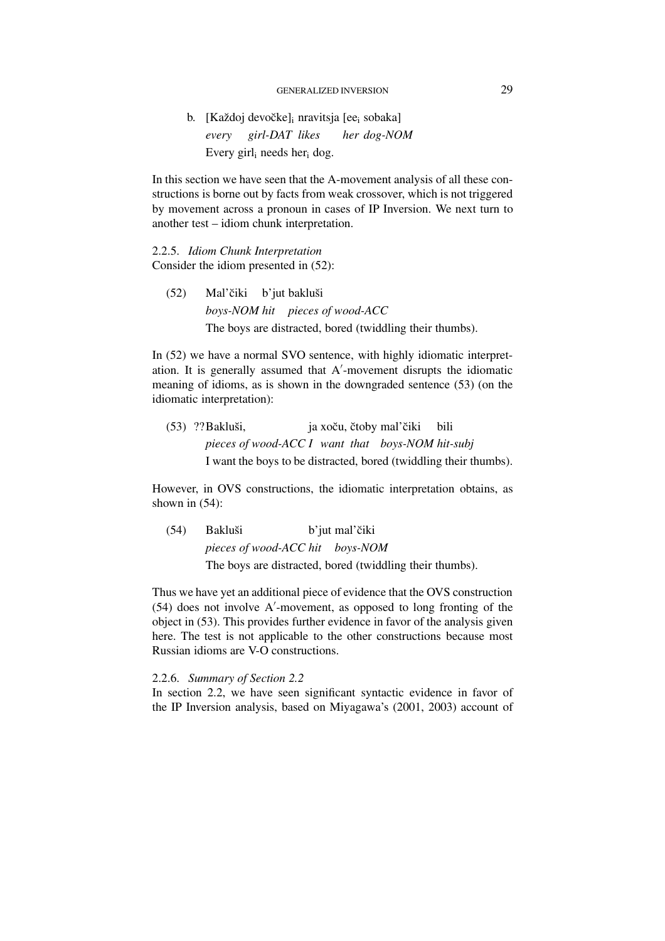b. [Každoj devočke]<sub>i</sub> nravitsja [ee<sub>i</sub> sobaka] *every girl-DAT likes her dog-NOM* Every girl<sub>i</sub> needs her<sub>i</sub> dog.

In this section we have seen that the A-movement analysis of all these constructions is borne out by facts from weak crossover, which is not triggered by movement across a pronoun in cases of IP Inversion. We next turn to another test – idiom chunk interpretation.

2.2.5. *Idiom Chunk Interpretation* Consider the idiom presented in (52):

(52) Mal'čiki b'jut bakluši *boys-NOM hit pieces of wood-ACC* The boys are distracted, bored (twiddling their thumbs).

In (52) we have a normal SVO sentence, with highly idiomatic interpretation. It is generally assumed that A -movement disrupts the idiomatic meaning of idioms, as is shown in the downgraded sentence (53) (on the idiomatic interpretation):

*(*53*)* ??Baklusi, ˘ *pieces of wood-ACC I want that boys-NOM hit-subj* ja xoču, čtoby mal'čiki bili I want the boys to be distracted, bored (twiddling their thumbs).

However, in OVS constructions, the idiomatic interpretation obtains, as shown in  $(54)$ :

*(*54*)* Baklusi˘ *pieces of wood-ACC hit boys-NOM* b'jut mal'čiki The boys are distracted, bored (twiddling their thumbs).

Thus we have yet an additional piece of evidence that the OVS construction (54) does not involve A -movement, as opposed to long fronting of the object in (53). This provides further evidence in favor of the analysis given here. The test is not applicable to the other constructions because most Russian idioms are V-O constructions.

#### 2.2.6. *Summary of Section 2.2*

In section 2.2, we have seen significant syntactic evidence in favor of the IP Inversion analysis, based on Miyagawa's (2001, 2003) account of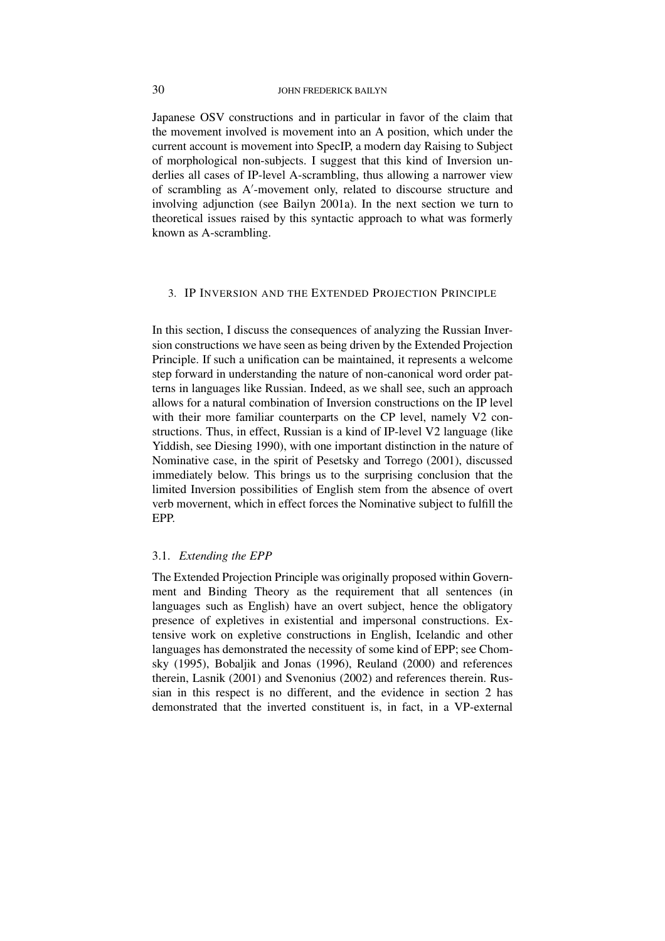Japanese OSV constructions and in particular in favor of the claim that the movement involved is movement into an A position, which under the current account is movement into SpecIP, a modern day Raising to Subject of morphological non-subjects. I suggest that this kind of Inversion underlies all cases of IP-level A-scrambling, thus allowing a narrower view of scrambling as A -movement only, related to discourse structure and involving adjunction (see Bailyn 2001a). In the next section we turn to theoretical issues raised by this syntactic approach to what was formerly known as A-scrambling.

### 3. IP INVERSION AND THE EXTENDED PROJECTION PRINCIPLE

In this section, I discuss the consequences of analyzing the Russian Inversion constructions we have seen as being driven by the Extended Projection Principle. If such a unification can be maintained, it represents a welcome step forward in understanding the nature of non-canonical word order patterns in languages like Russian. Indeed, as we shall see, such an approach allows for a natural combination of Inversion constructions on the IP level with their more familiar counterparts on the CP level, namely V2 constructions. Thus, in effect, Russian is a kind of IP-level V2 language (like Yiddish, see Diesing 1990), with one important distinction in the nature of Nominative case, in the spirit of Pesetsky and Torrego (2001), discussed immediately below. This brings us to the surprising conclusion that the limited Inversion possibilities of English stem from the absence of overt verb movernent, which in effect forces the Nominative subject to fulfill the EPP.

### 3.1. *Extending the EPP*

The Extended Projection Principle was originally proposed within Government and Binding Theory as the requirement that all sentences (in languages such as English) have an overt subject, hence the obligatory presence of expletives in existential and impersonal constructions. Extensive work on expletive constructions in English, Icelandic and other languages has demonstrated the necessity of some kind of EPP; see Chomsky (1995), Bobaljik and Jonas (1996), Reuland (2000) and references therein, Lasnik (2001) and Svenonius (2002) and references therein. Russian in this respect is no different, and the evidence in section 2 has demonstrated that the inverted constituent is, in fact, in a VP-external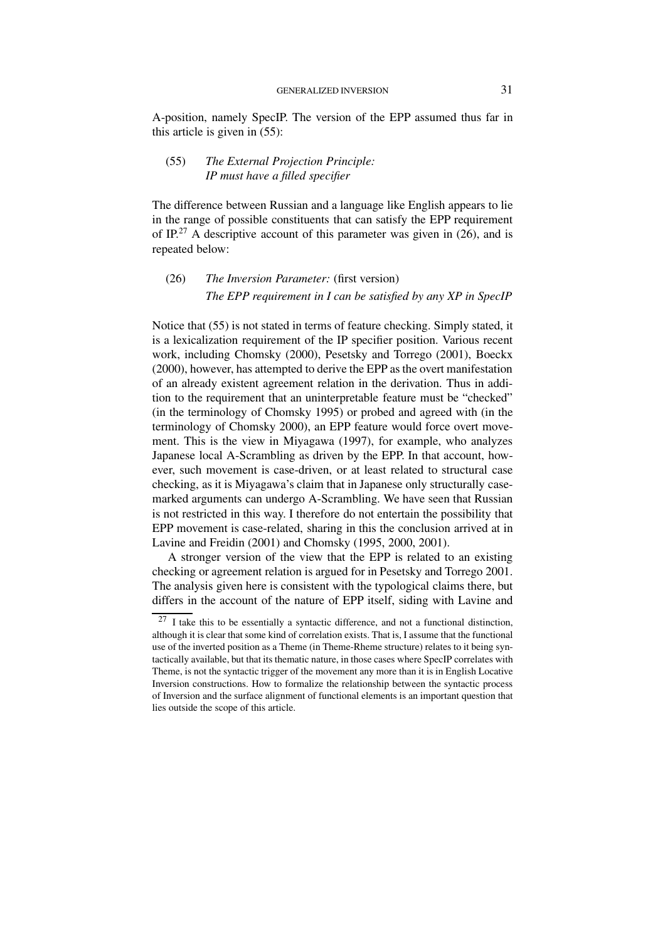A-position, namely SpecIP. The version of the EPP assumed thus far in this article is given in (55):

### (55) *The External Projection Principle: IP must have a filled specifier*

The difference between Russian and a language like English appears to lie in the range of possible constituents that can satisfy the EPP requirement of IP.<sup>27</sup> A descriptive account of this parameter was given in (26), and is repeated below:

# (26) *The Inversion Parameter:* (first version) *The EPP requirement in I can be satisfied by any XP in SpecIP*

Notice that (55) is not stated in terms of feature checking. Simply stated, it is a lexicalization requirement of the IP specifier position. Various recent work, including Chomsky (2000), Pesetsky and Torrego (2001), Boeckx (2000), however, has attempted to derive the EPP as the overt manifestation of an already existent agreement relation in the derivation. Thus in addition to the requirement that an uninterpretable feature must be "checked" (in the terminology of Chomsky 1995) or probed and agreed with (in the terminology of Chomsky 2000), an EPP feature would force overt movement. This is the view in Miyagawa (1997), for example, who analyzes Japanese local A-Scrambling as driven by the EPP. In that account, however, such movement is case-driven, or at least related to structural case checking, as it is Miyagawa's claim that in Japanese only structurally casemarked arguments can undergo A-Scrambling. We have seen that Russian is not restricted in this way. I therefore do not entertain the possibility that EPP movement is case-related, sharing in this the conclusion arrived at in Lavine and Freidin (2001) and Chomsky (1995, 2000, 2001).

A stronger version of the view that the EPP is related to an existing checking or agreement relation is argued for in Pesetsky and Torrego 2001. The analysis given here is consistent with the typological claims there, but differs in the account of the nature of EPP itself, siding with Lavine and

 $27$  I take this to be essentially a syntactic difference, and not a functional distinction, although it is clear that some kind of correlation exists. That is, I assume that the functional use of the inverted position as a Theme (in Theme-Rheme structure) relates to it being syntactically available, but that its thematic nature, in those cases where SpecIP correlates with Theme, is not the syntactic trigger of the movement any more than it is in English Locative Inversion constructions. How to formalize the relationship between the syntactic process of Inversion and the surface alignment of functional elements is an important question that lies outside the scope of this article.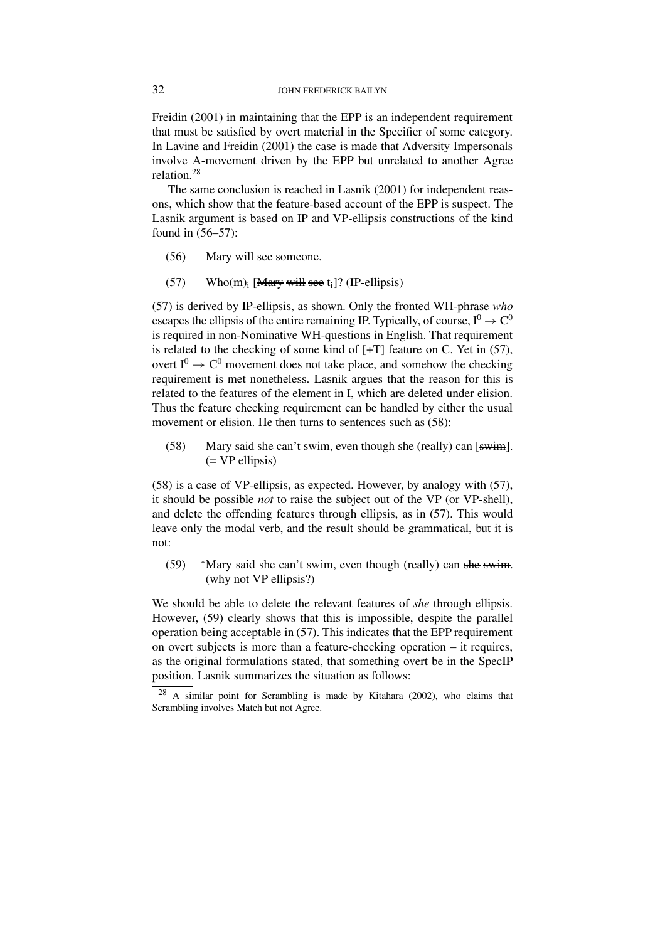Freidin (2001) in maintaining that the EPP is an independent requirement that must be satisfied by overt material in the Specifier of some category. In Lavine and Freidin (2001) the case is made that Adversity Impersonals involve A-movement driven by the EPP but unrelated to another Agree relation.<sup>28</sup>

The same conclusion is reached in Lasnik (2001) for independent reasons, which show that the feature-based account of the EPP is suspect. The Lasnik argument is based on IP and VP-ellipsis constructions of the kind found in (56–57):

- (56) Mary will see someone.
- $(57)$  Who(m)<sub>i</sub> [Mary will see t<sub>i</sub>]? (IP-ellipsis)

(57) is derived by IP-ellipsis, as shown. Only the fronted WH-phrase *who* escapes the ellipsis of the entire remaining IP. Typically, of course,  $I^0 \rightarrow C^0$ is required in non-Nominative WH-questions in English. That requirement is related to the checking of some kind of [+T] feature on C. Yet in (57), overt  $I^0 \rightarrow C^0$  movement does not take place, and somehow the checking requirement is met nonetheless. Lasnik argues that the reason for this is related to the features of the element in I, which are deleted under elision. Thus the feature checking requirement can be handled by either the usual movement or elision. He then turns to sentences such as (58):

(58) Mary said she can't swim, even though she (really) can [swim]. (= VP ellipsis)

(58) is a case of VP-ellipsis, as expected. However, by analogy with (57), it should be possible *not* to raise the subject out of the VP (or VP-shell), and delete the offending features through ellipsis, as in (57). This would leave only the modal verb, and the result should be grammatical, but it is not:

(59) <sup>∗</sup>Mary said she can't swim, even though (really) can she swim. (why not VP ellipsis?)

We should be able to delete the relevant features of *she* through ellipsis. However, (59) clearly shows that this is impossible, despite the parallel operation being acceptable in (57). This indicates that the EPP requirement on overt subjects is more than a feature-checking operation – it requires, as the original formulations stated, that something overt be in the SpecIP position. Lasnik summarizes the situation as follows:

 $28$  A similar point for Scrambling is made by Kitahara (2002), who claims that Scrambling involves Match but not Agree.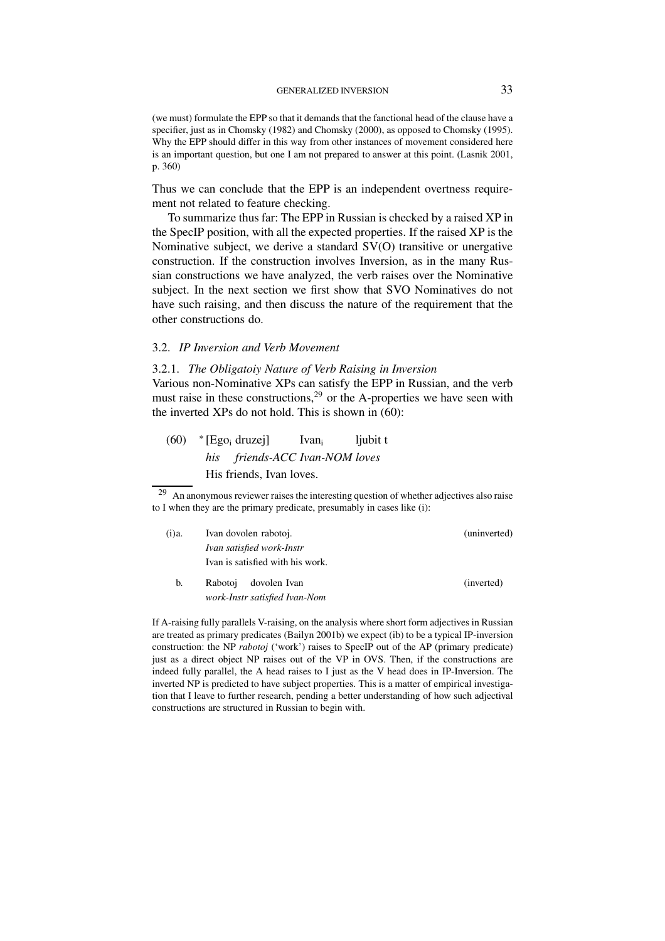(we must) formulate the EPP so that it demands that the fanctional head of the clause have a specifier, just as in Chomsky (1982) and Chomsky (2000), as opposed to Chomsky (1995). Why the EPP should differ in this way from other instances of movement considered here is an important question, but one I am not prepared to answer at this point. (Lasnik 2001, p. 360)

Thus we can conclude that the EPP is an independent overtness requirement not related to feature checking.

To summarize thus far: The EPP in Russian is checked by a raised XP in the SpecIP position, with all the expected properties. If the raised XP is the Nominative subject, we derive a standard SV(O) transitive or unergative construction. If the construction involves Inversion, as in the many Russian constructions we have analyzed, the verb raises over the Nominative subject. In the next section we first show that SVO Nominatives do not have such raising, and then discuss the nature of the requirement that the other constructions do.

#### 3.2. *IP Inversion and Verb Movement*

#### 3.2.1. *The Obligatoiy Nature of Verb Raising in Inversion*

Various non-Nominative XPs can satisfy the EPP in Russian, and the verb must raise in these constructions,  $29$  or the A-properties we have seen with the inverted XPs do not hold. This is shown in (60):

*(*60*)* <sup>∗</sup> [Egoi druzej] *his friends-ACC Ivan-NOM loves* Ivani ljubit t His friends, Ivan loves.

 $29$  An anonymous reviewer raises the interesting question of whether adjectives also raise to I when they are the primary predicate, presumably in cases like (i):

| $(i)$ a. | Ivan dovolen rabotoj.            | (uninverted) |
|----------|----------------------------------|--------------|
|          | Ivan satisfied work-Instr        |              |
|          | Ivan is satisfied with his work. |              |
| b.       | Rabotoj dovolen Ivan             | (inverted)   |
|          | work-Instr satisfied Ivan-Nom    |              |

If A-raising fully parallels V-raising, on the analysis where short form adjectives in Russian are treated as primary predicates (Bailyn 2001b) we expect (ib) to be a typical IP-inversion construction: the NP *rabotoj* ('work') raises to SpecIP out of the AP (primary predicate) just as a direct object NP raises out of the VP in OVS. Then, if the constructions are indeed fully parallel, the A head raises to I just as the V head does in IP-Inversion. The inverted NP is predicted to have subject properties. This is a matter of empirical investigation that I leave to further research, pending a better understanding of how such adjectival constructions are structured in Russian to begin with.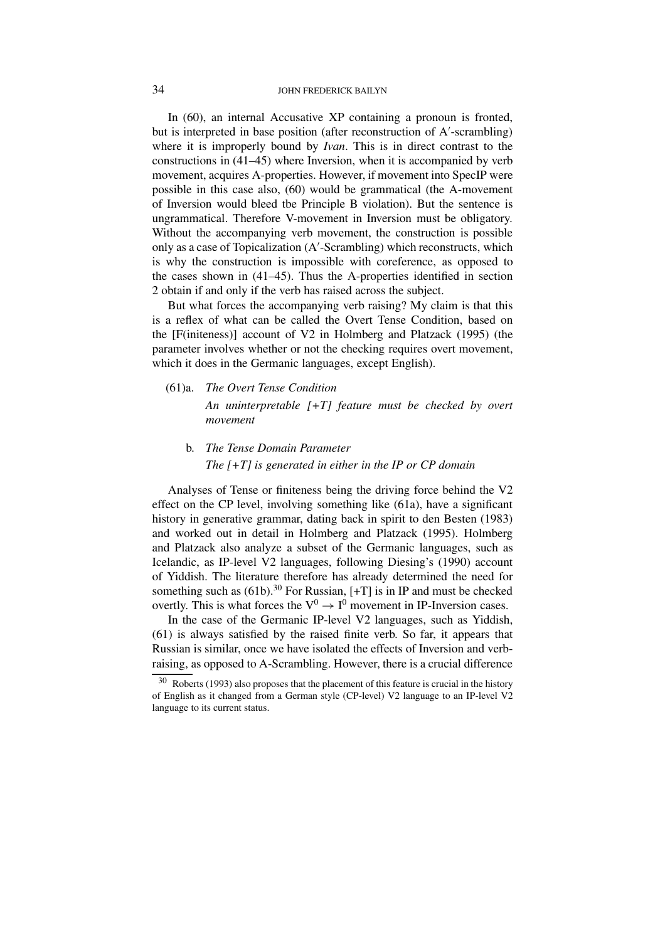In (60), an internal Accusative XP containing a pronoun is fronted, but is interpreted in base position (after reconstruction of A'-scrambling) where it is improperly bound by *Ivan*. This is in direct contrast to the constructions in (41–45) where Inversion, when it is accompanied by verb movement, acquires A-properties. However, if movement into SpecIP were possible in this case also, (60) would be grammatical (the A-movement of Inversion would bleed tbe Principle B violation). But the sentence is ungrammatical. Therefore V-movement in Inversion must be obligatory. Without the accompanying verb movement, the construction is possible only as a case of Topicalization (A -Scrambling) which reconstructs, which is why the construction is impossible with coreference, as opposed to the cases shown in (41–45). Thus the A-properties identified in section 2 obtain if and only if the verb has raised across the subject.

But what forces the accompanying verb raising? My claim is that this is a reflex of what can be called the Overt Tense Condition, based on the [F(initeness)] account of V2 in Holmberg and Platzack (1995) (the parameter involves whether or not the checking requires overt movement, which it does in the Germanic languages, except English).

- (61)a. *The Overt Tense Condition An uninterpretable [+T] feature must be checked by overt movement*
	- b. *The Tense Domain Parameter The [+T] is generated in either in the IP or CP domain*

Analyses of Tense or finiteness being the driving force behind the V2 effect on the CP level, involving something like (61a), have a significant history in generative grammar, dating back in spirit to den Besten (1983) and worked out in detail in Holmberg and Platzack (1995). Holmberg and Platzack also analyze a subset of the Germanic languages, such as Icelandic, as IP-level V2 languages, following Diesing's (1990) account of Yiddish. The literature therefore has already determined the need for something such as  $(61b)$ .<sup>30</sup> For Russian,  $[+T]$  is in IP and must be checked overtly. This is what forces the  $V^0 \rightarrow I^0$  movement in IP-Inversion cases.

In the case of the Germanic IP-level V2 languages, such as Yiddish, (61) is always satisfied by the raised finite verb. So far, it appears that Russian is similar, once we have isolated the effects of Inversion and verbraising, as opposed to A-Scrambling. However, there is a crucial difference

 $30$  Roberts (1993) also proposes that the placement of this feature is crucial in the history of English as it changed from a German style (CP-level) V2 language to an IP-level V2 language to its current status.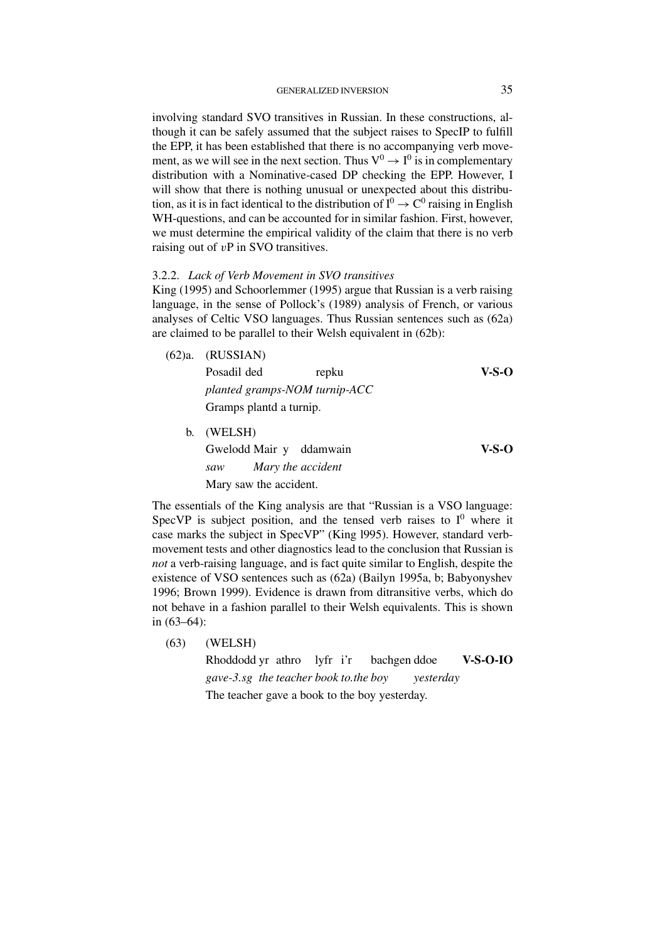involving standard SVO transitives in Russian. In these constructions, although it can be safely assumed that the subject raises to SpecIP to fulfill the EPP, it has been established that there is no accompanying verb movement, as we will see in the next section. Thus  $V^0 \rightarrow I^0$  is in complementary distribution with a Nominative-cased DP checking the EPP. However, I will show that there is nothing unusual or unexpected about this distribution, as it is in fact identical to the distribution of  $I^0 \rightarrow C^0$  raising in English WH-questions, and can be accounted for in similar fashion. First, however, we must determine the empirical validity of the claim that there is no verb raising out of *v*P in SVO transitives.

### 3.2.2. *Lack of Verb Movement in SVO transitives*

King (1995) and Schoorlemmer (1995) argue that Russian is a verb raising language, in the sense of Pollock's (1989) analysis of French, or various analyses of Celtic VSO languages. Thus Russian sentences such as (62a) are claimed to be parallel to their Welsh equivalent in (62b):

(62)a. (RUSSIAN)

| $1 - 1 - 1 = 1$               |       |         |
|-------------------------------|-------|---------|
| Posadil ded                   | repku | $V-S-O$ |
| planted gramps-NOM turnip-ACC |       |         |
| Gramps plantd a turnip.       |       |         |
|                               |       |         |

b. (WELSH) Gwelodd Mair y ddamwain *saw Mary the accident* **V-S-O** Mary saw the accident.

The essentials of the King analysis are that "Russian is a VSO language: SpecVP is subject position, and the tensed verb raises to  $I^0$  where it case marks the subject in SpecVP" (King l995). However, standard verbmovement tests and other diagnostics lead to the conclusion that Russian is *not* a verb-raising language, and is fact quite similar to English, despite the existence of VSO sentences such as (62a) (Bailyn 1995a, b; Babyonyshev 1996; Brown 1999). Evidence is drawn from ditransitive verbs, which do not behave in a fashion parallel to their Welsh equivalents. This is shown in (63–64):

(63) (WELSH)

Rhoddodd yr athro lyfr i'r *gave-3.sg the teacher book to.the boy* bachgen ddoe *yesterday* **V-S-O-IO** The teacher gave a book to the boy yesterday.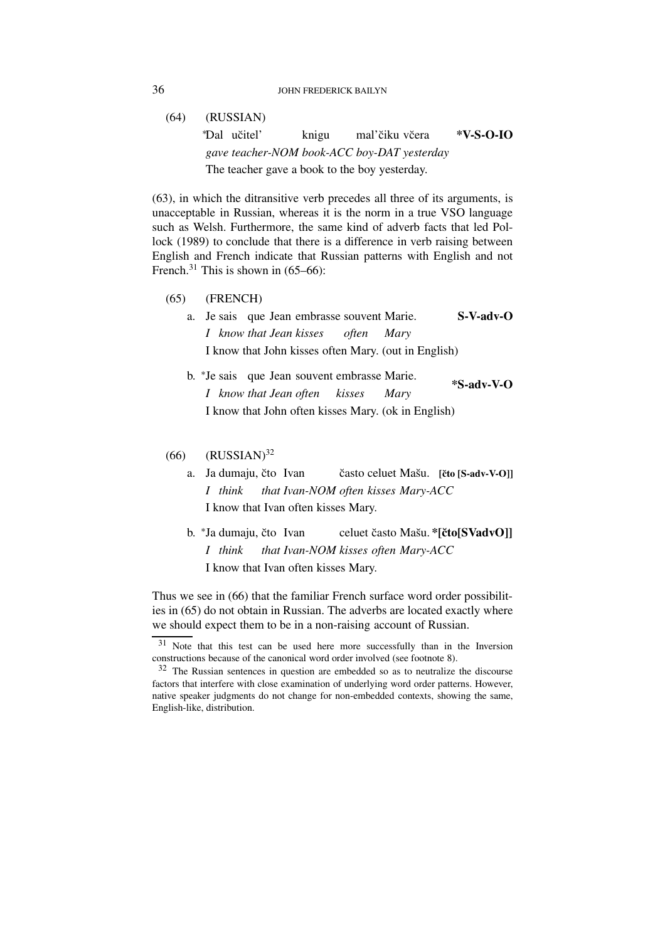(64) (RUSSIAN) ∗ Dal ucitel' ˘ *gave teacher-NOM book-ACC boy-DAT yesterday* knigu mal'čiku včera **\*V-S-O-IO** The teacher gave a book to the boy yesterday.

(63), in which the ditransitive verb precedes all three of its arguments, is unacceptable in Russian, whereas it is the norm in a true VSO language such as Welsh. Furthermore, the same kind of adverb facts that led Pollock (1989) to conclude that there is a difference in verb raising between English and French indicate that Russian patterns with English and not French.<sup>31</sup> This is shown in  $(65-66)$ :

- (65) (FRENCH)
	- a. Je sais que Jean embrasse souvent Marie. *I know that Jean kisses often Mary* **S-V-adv-O** I know that John kisses often Mary. (out in English)
	- b. \*Je sais que Jean souvent embrasse Marie. *I know that Jean often kisses Mary* **\*S-adv-V-O** I know that John often kisses Mary. (ok in English)

## $(66)$   $(RUSSIAN)^{32}$

- a. Ja dumaju, čto Ivan *I think that Ivan-NOM often kisses Mary-ACC* často celuet Mašu. [čto [S-adv-V-O]] I know that Ivan often kisses Mary.
- b. \*Ja dumaju, čto Ivan *I think that Ivan-NOM kisses often Mary-ACC* celuet často Mašu. \***[čto[SVadvO]]** I know that Ivan often kisses Mary.

Thus we see in (66) that the familiar French surface word order possibilities in (65) do not obtain in Russian. The adverbs are located exactly where we should expect them to be in a non-raising account of Russian.

<sup>&</sup>lt;sup>31</sup> Note that this test can be used here more successfully than in the Inversion constructions because of the canonical word order involved (see footnote 8).

 $32$  The Russian sentences in question are embedded so as to neutralize the discourse factors that interfere with close examination of underlying word order patterns. However, native speaker judgments do not change for non-embedded contexts, showing the same, English-like, distribution.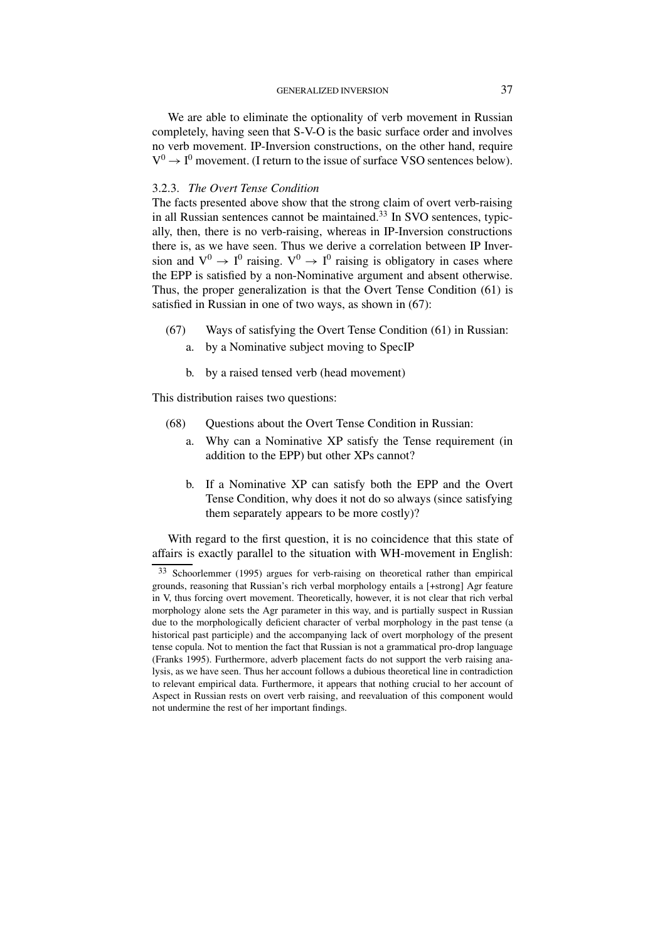We are able to eliminate the optionality of verb movement in Russian completely, having seen that S-V-O is the basic surface order and involves no verb movement. IP-Inversion constructions, on the other hand, require  $V^0 \rightarrow I^0$  movement. (I return to the issue of surface VSO sentences below).

### 3.2.3. *The Overt Tense Condition*

The facts presented above show that the strong claim of overt verb-raising in all Russian sentences cannot be maintained.<sup>33</sup> In SVO sentences, typically, then, there is no verb-raising, whereas in IP-Inversion constructions there is, as we have seen. Thus we derive a correlation between IP Inversion and  $V^0 \rightarrow I^0$  raising.  $V^0 \rightarrow I^0$  raising is obligatory in cases where the EPP is satisfied by a non-Nominative argument and absent otherwise. Thus, the proper generalization is that the Overt Tense Condition (61) is satisfied in Russian in one of two ways, as shown in (67):

- (67) Ways of satisfying the Overt Tense Condition (61) in Russian: a. by a Nominative subject moving to SpecIP
	- b. by a raised tensed verb (head movement)
- 

This distribution raises two questions:

- (68) Questions about the Overt Tense Condition in Russian:
	- a. Why can a Nominative XP satisfy the Tense requirement (in addition to the EPP) but other XPs cannot?
	- b. If a Nominative XP can satisfy both the EPP and the Overt Tense Condition, why does it not do so always (since satisfying them separately appears to be more costly)?

With regard to the first question, it is no coincidence that this state of affairs is exactly parallel to the situation with WH-movement in English:

<sup>33</sup> Schoorlemmer (1995) argues for verb-raising on theoretical rather than empirical grounds, reasoning that Russian's rich verbal morphology entails a [+strong] Agr feature in V, thus forcing overt movement. Theoretically, however, it is not clear that rich verbal morphology alone sets the Agr parameter in this way, and is partially suspect in Russian due to the morphologically deficient character of verbal morphology in the past tense (a historical past participle) and the accompanying lack of overt morphology of the present tense copula. Not to mention the fact that Russian is not a grammatical pro-drop language (Franks 1995). Furthermore, adverb placement facts do not support the verb raising analysis, as we have seen. Thus her account follows a dubious theoretical line in contradiction to relevant empirical data. Furthermore, it appears that nothing crucial to her account of Aspect in Russian rests on overt verb raising, and reevaluation of this component would not undermine the rest of her important findings.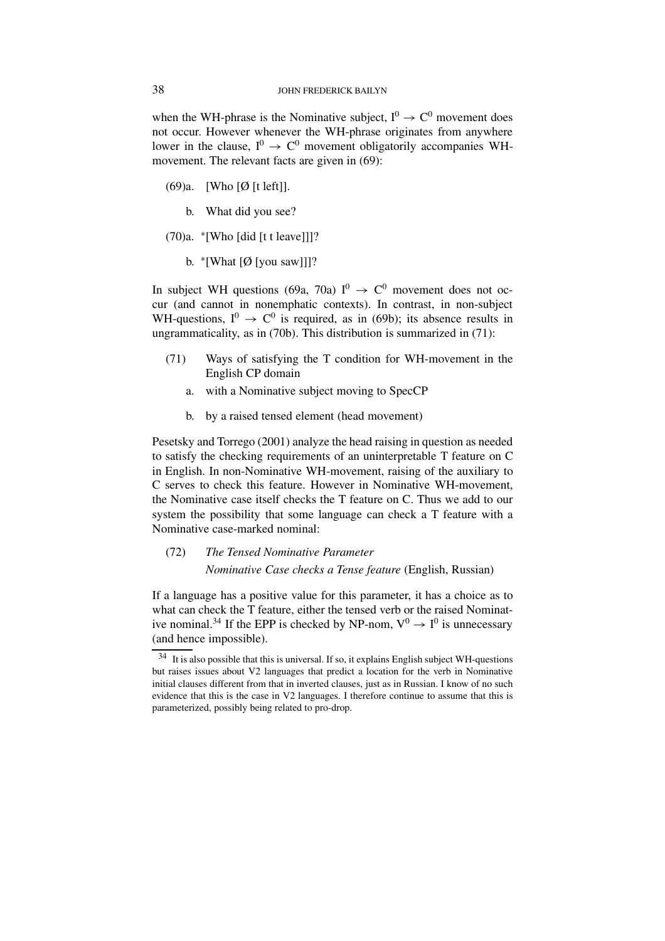when the WH-phrase is the Nominative subject,  $I^0 \rightarrow C^0$  movement does not occur. However whenever the WH-phrase originates from anywhere lower in the clause,  $I^0 \rightarrow C^0$  movement obligatorily accompanies WHmovement. The relevant facts are given in (69):

- (69)a. [Who  $\lbrack \emptyset \rbrack$  [t left]].
	- b. What did you see?
- (70)a. <sup>∗</sup>[Who [did [t t leave]]]?
	- b.  $*$ [What [Ø [you saw]]]?

In subject WH questions (69a, 70a)  $I^0 \rightarrow C^0$  movement does not occur (and cannot in nonemphatic contexts). In contrast, in non-subject WH-questions,  $I^0 \rightarrow C^0$  is required, as in (69b); its absence results in ungrammaticality, as in (70b). This distribution is summarized in (71):

- (71) Ways of satisfying the T condition for WH-movement in the English CP domain
	- a. with a Nominative subject moving to SpecCP
	- b. by a raised tensed element (head movement)

Pesetsky and Torrego (2001) analyze the head raising in question as needed to satisfy the checking requirements of an uninterpretable T feature on C in English. In non-Nominative WH-movement, raising of the auxiliary to C serves to check this feature. However in Nominative WH-movement, the Nominative case itself checks the T feature on C. Thus we add to our system the possibility that some language can check a T feature with a Nominative case-marked nominal:

(72) *The Tensed Nominative Parameter Nominative Case checks a Tense feature* (English, Russian)

If a language has a positive value for this parameter, it has a choice as to what can check the T feature, either the tensed verb or the raised Nominative nominal.<sup>34</sup> If the EPP is checked by NP-nom,  $V^0 \rightarrow I^0$  is unnecessary (and hence impossible).

<sup>34</sup> It is also possible that this is universal. If so, it explains English subject WH-questions but raises issues about V2 languages that predict a location for the verb in Nominative initial clauses different from that in inverted clauses, just as in Russian. I know of no such evidence that this is the case in V2 languages. I therefore continue to assume that this is parameterized, possibly being related to pro-drop.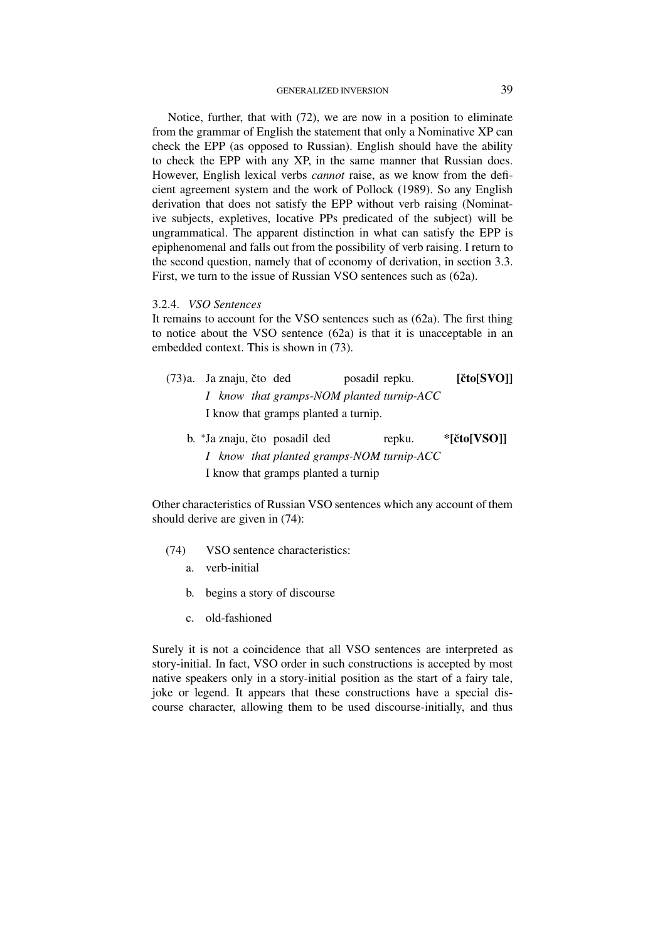#### GENERALIZED INVERSION 39

Notice, further, that with (72), we are now in a position to eliminate from the grammar of English the statement that only a Nominative XP can check the EPP (as opposed to Russian). English should have the ability to check the EPP with any XP, in the same manner that Russian does. However, English lexical verbs *cannot* raise, as we know from the deficient agreement system and the work of Pollock (1989). So any English derivation that does not satisfy the EPP without verb raising (Nominative subjects, expletives, locative PPs predicated of the subject) will be ungrammatical. The apparent distinction in what can satisfy the EPP is epiphenomenal and falls out from the possibility of verb raising. I return to the second question, namely that of economy of derivation, in section 3.3. First, we turn to the issue of Russian VSO sentences such as (62a).

#### 3.2.4. *VSO Sentences*

It remains to account for the VSO sentences such as (62a). The first thing to notice about the VSO sentence (62a) is that it is unacceptable in an embedded context. This is shown in (73).

- (73)a. Ja znaju, čto ded *I know that gramps-NOM planted turnip-ACC* posadil repku. **[cto[SVO]] ˘** I know that gramps planted a turnip.
	- b. \*Ja znaju, čto posadil ded *I know that planted gramps-NOM turnip-ACC* repku. **\*[cto[VSO]] ˘** I know that gramps planted a turnip

Other characteristics of Russian VSO sentences which any account of them should derive are given in (74):

- (74) VSO sentence characteristics:
	- a. verb-initial
	- b. begins a story of discourse
	- c. old-fashioned

Surely it is not a coincidence that all VSO sentences are interpreted as story-initial. In fact, VSO order in such constructions is accepted by most native speakers only in a story-initial position as the start of a fairy tale, joke or legend. It appears that these constructions have a special discourse character, allowing them to be used discourse-initially, and thus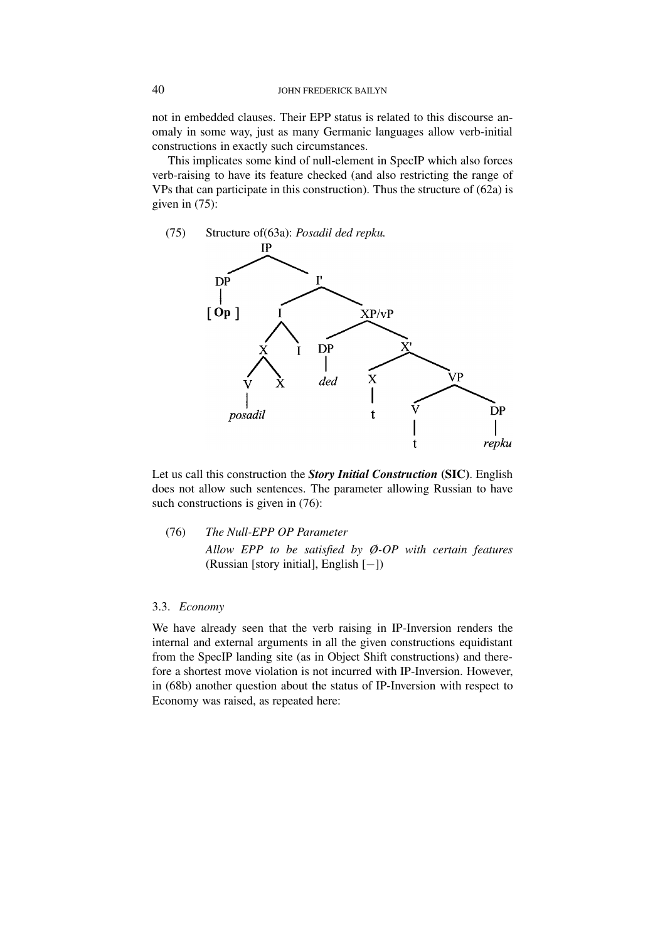not in embedded clauses. Their EPP status is related to this discourse anomaly in some way, just as many Germanic languages allow verb-initial constructions in exactly such circumstances.

This implicates some kind of null-element in SpecIP which also forces verb-raising to have its feature checked (and also restricting the range of VPs that can participate in this construction). Thus the structure of (62a) is given in (75):



Let us call this construction the *Story Initial Construction* **(SIC)**. English does not allow such sentences. The parameter allowing Russian to have such constructions is given in  $(76)$ :

(76) *The Null-EPP OP Parameter Allow EPP to be satisfied by Ø-OP with certain features* (Russian [story initial], English [−])

### 3.3. *Economy*

We have already seen that the verb raising in IP-Inversion renders the internal and external arguments in all the given constructions equidistant from the SpecIP landing site (as in Object Shift constructions) and therefore a shortest move violation is not incurred with IP-Inversion. However, in (68b) another question about the status of IP-Inversion with respect to Economy was raised, as repeated here: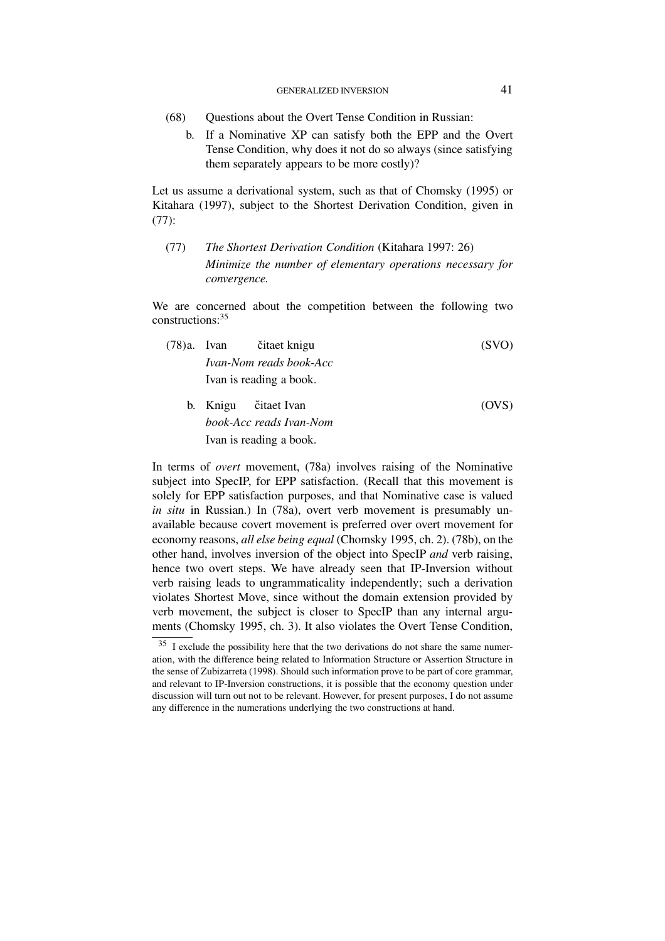- (68) Questions about the Overt Tense Condition in Russian:
	- b. If a Nominative XP can satisfy both the EPP and the Overt Tense Condition, why does it not do so always (since satisfying them separately appears to be more costly)?

Let us assume a derivational system, such as that of Chomsky (1995) or Kitahara (1997), subject to the Shortest Derivation Condition, given in (77):

(77) *The Shortest Derivation Condition* (Kitahara 1997: 26) *Minimize the number of elementary operations necessary for convergence.*

We are concerned about the competition between the following two constructions:35

|  | (78)a. Ivan čitaet knigu | (SVO) |
|--|--------------------------|-------|
|  | Ivan-Nom reads book-Acc  |       |
|  | Ivan is reading a book.  |       |
|  | 1. I. $\mathbf{L}$       |       |

b. Knigu *book-Acc reads Ivan-Nom* čitaet Ivan (OVS) Ivan is reading a book.

In terms of *overt* movement, (78a) involves raising of the Nominative subject into SpecIP, for EPP satisfaction. (Recall that this movement is solely for EPP satisfaction purposes, and that Nominative case is valued *in situ* in Russian.) In (78a), overt verb movement is presumably unavailable because covert movement is preferred over overt movement for economy reasons, *all else being equal* (Chomsky 1995, ch. 2). (78b), on the other hand, involves inversion of the object into SpecIP *and* verb raising, hence two overt steps. We have already seen that IP-Inversion without verb raising leads to ungrammaticality independently; such a derivation violates Shortest Move, since without the domain extension provided by verb movement, the subject is closer to SpecIP than any internal arguments (Chomsky 1995, ch. 3). It also violates the Overt Tense Condition,

<sup>35</sup> I exclude the possibility here that the two derivations do not share the same numeration, with the difference being related to Information Structure or Assertion Structure in the sense of Zubizarreta (1998). Should such information prove to be part of core grammar, and relevant to IP-Inversion constructions, it is possible that the economy question under discussion will turn out not to be relevant. However, for present purposes, I do not assume any difference in the numerations underlying the two constructions at hand.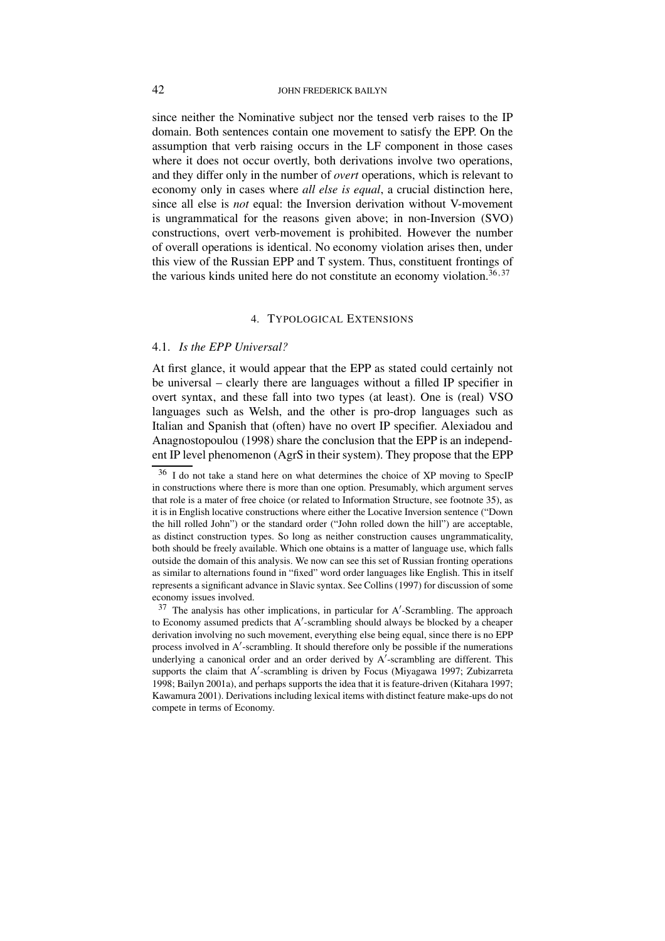since neither the Nominative subject nor the tensed verb raises to the IP domain. Both sentences contain one movement to satisfy the EPP. On the assumption that verb raising occurs in the LF component in those cases where it does not occur overtly, both derivations involve two operations, and they differ only in the number of *overt* operations, which is relevant to economy only in cases where *all else is equal*, a crucial distinction here, since all else is *not* equal: the Inversion derivation without V-movement is ungrammatical for the reasons given above; in non-Inversion (SVO) constructions, overt verb-movement is prohibited. However the number of overall operations is identical. No economy violation arises then, under this view of the Russian EPP and T system. Thus, constituent frontings of the various kinds united here do not constitute an economy violation.<sup>36</sup>*,*<sup>37</sup>

#### 4. TYPOLOGICAL EXTENSIONS

#### 4.1. *Is the EPP Universal?*

At first glance, it would appear that the EPP as stated could certainly not be universal – clearly there are languages without a filled IP specifier in overt syntax, and these fall into two types (at least). One is (real) VSO languages such as Welsh, and the other is pro-drop languages such as Italian and Spanish that (often) have no overt IP specifier. Alexiadou and Anagnostopoulou (1998) share the conclusion that the EPP is an independent IP level phenomenon (AgrS in their system). They propose that the EPP

<sup>36</sup> I do not take a stand here on what determines the choice of XP moving to SpecIP in constructions where there is more than one option. Presumably, which argument serves that role is a mater of free choice (or related to Information Structure, see footnote 35), as it is in English locative constructions where either the Locative Inversion sentence ("Down the hill rolled John") or the standard order ("John rolled down the hill") are acceptable, as distinct construction types. So long as neither construction causes ungrammaticality, both should be freely available. Which one obtains is a matter of language use, which falls outside the domain of this analysis. We now can see this set of Russian fronting operations as similar to alternations found in "fixed" word order languages like English. This in itself represents a significant advance in Slavic syntax. See Collins (1997) for discussion of some economy issues involved.

 $37$  The analysis has other implications, in particular for A'-Scrambling. The approach to Economy assumed predicts that A -scrambling should always be blocked by a cheaper derivation involving no such movement, everything else being equal, since there is no EPP process involved in A -scrambling. It should therefore only be possible if the numerations underlying a canonical order and an order derived by A -scrambling are different. This supports the claim that A -scrambling is driven by Focus (Miyagawa 1997; Zubizarreta 1998; Bailyn 2001a), and perhaps supports the idea that it is feature-driven (Kitahara 1997; Kawamura 2001). Derivations including lexical items with distinct feature make-ups do not compete in terms of Economy.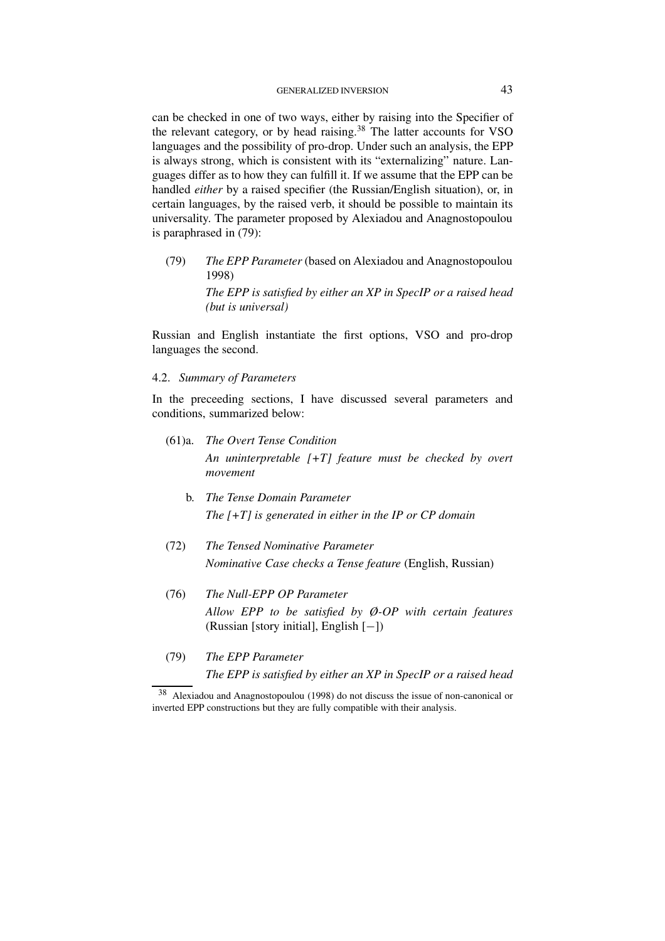can be checked in one of two ways, either by raising into the Specifier of the relevant category, or by head raising.<sup>38</sup> The latter accounts for VSO languages and the possibility of pro-drop. Under such an analysis, the EPP is always strong, which is consistent with its "externalizing" nature. Languages differ as to how they can fulfill it. If we assume that the EPP can be handled *either* by a raised specifier (the Russian/English situation), or, in certain languages, by the raised verb, it should be possible to maintain its universality. The parameter proposed by Alexiadou and Anagnostopoulou is paraphrased in (79):

(79) *The EPP Parameter* (based on Alexiadou and Anagnostopoulou 1998) *The EPP is satisfied by either an XP in SpecIP or a raised head (but is universal)*

Russian and English instantiate the first options, VSO and pro-drop languages the second.

4.2. *Summary of Parameters*

In the preceeding sections, I have discussed several parameters and conditions, summarized below:

- (61)a. *The Overt Tense Condition An uninterpretable [+T] feature must be checked by overt movement*
	- b. *The Tense Domain Parameter The [+T] is generated in either in the IP or CP domain*
- (72) *The Tensed Nominative Parameter Nominative Case checks a Tense feature* (English, Russian)
- (76) *The Null-EPP OP Parameter Allow EPP to be satisfied by Ø-OP with certain features* (Russian [story initial], English [−])
- (79) *The EPP Parameter The EPP is satisfied by either an XP in SpecIP or a raised head*

<sup>38</sup> Alexiadou and Anagnostopoulou (1998) do not discuss the issue of non-canonical or inverted EPP constructions but they are fully compatible with their analysis.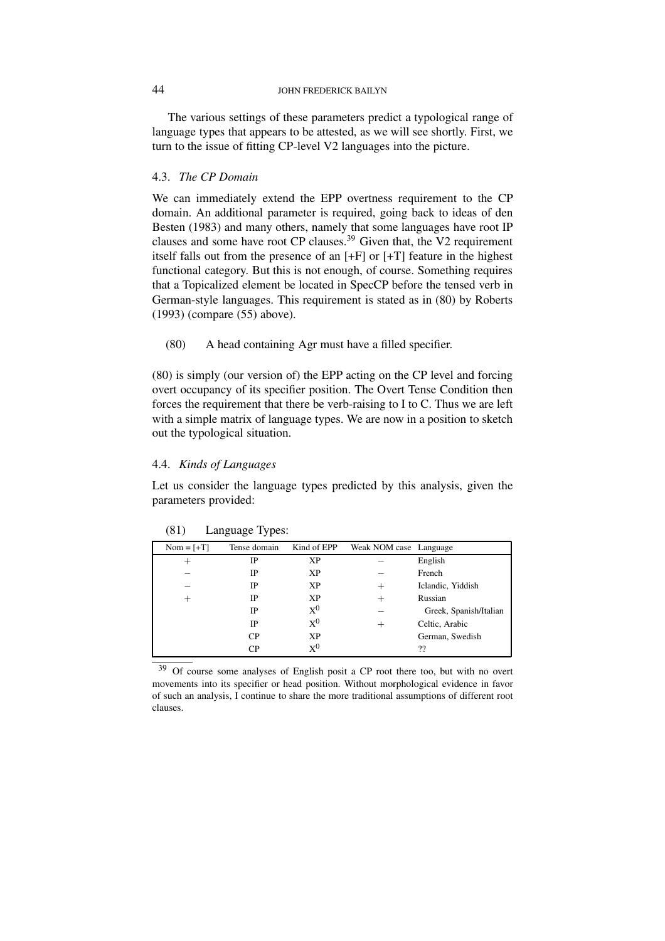The various settings of these parameters predict a typological range of language types that appears to be attested, as we will see shortly. First, we turn to the issue of fitting CP-level V2 languages into the picture.

### 4.3. *The CP Domain*

We can immediately extend the EPP overtness requirement to the CP domain. An additional parameter is required, going back to ideas of den Besten (1983) and many others, namely that some languages have root IP clauses and some have root CP clauses.<sup>39</sup> Given that, the V2 requirement itself falls out from the presence of an [+F] or [+T] feature in the highest functional category. But this is not enough, of course. Something requires that a Topicalized element be located in SpecCP before the tensed verb in German-style languages. This requirement is stated as in (80) by Roberts (1993) (compare (55) above).

#### (80) A head containing Agr must have a filled specifier.

(80) is simply (our version of) the EPP acting on the CP level and forcing overt occupancy of its specifier position. The Overt Tense Condition then forces the requirement that there be verb-raising to I to C. Thus we are left with a simple matrix of language types. We are now in a position to sketch out the typological situation.

### 4.4. *Kinds of Languages*

Let us consider the language types predicted by this analysis, given the parameters provided:

| $Nom = [+T]$ | Tense domain | Kind of EPP    | Weak NOM case Language |                        |
|--------------|--------------|----------------|------------------------|------------------------|
| $^+$         | IP           | <b>XP</b>      |                        | English                |
|              | IP           | ХP             |                        | French                 |
|              | ΙP           | ХP             | $^+$                   | Iclandic, Yiddish      |
| $^+$         | IP           | <b>XP</b>      | $^+$                   | Russian                |
|              | IP           | $\mathrm{X}^0$ |                        | Greek, Spanish/Italian |
|              | IP           | $\mathbf{X}^0$ |                        | Celtic, Arabic         |
|              | CP           | XP             |                        | German, Swedish        |
|              | CP           | $\mathrm{X}^0$ |                        | ??                     |

(81) Language Types:

 $39$  Of course some analyses of English posit a CP root there too, but with no overt movements into its specifier or head position. Without morphological evidence in favor of such an analysis, I continue to share the more traditional assumptions of different root clauses.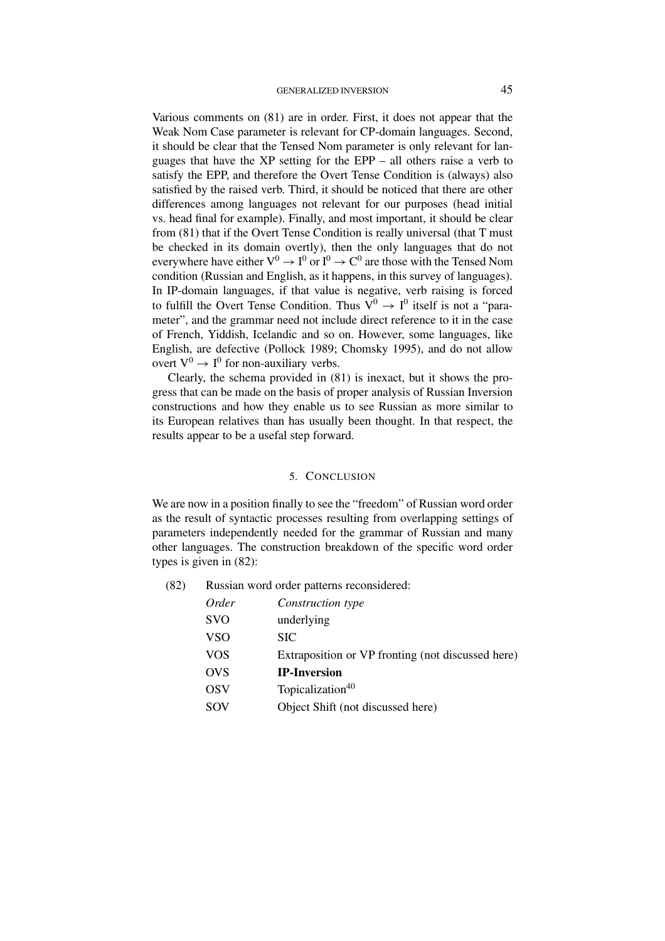Various comments on (81) are in order. First, it does not appear that the Weak Nom Case parameter is relevant for CP-domain languages. Second, it should be clear that the Tensed Nom parameter is only relevant for languages that have the XP setting for the EPP – all others raise a verb to satisfy the EPP, and therefore the Overt Tense Condition is (always) also satisfied by the raised verb. Third, it should be noticed that there are other differences among languages not relevant for our purposes (head initial vs. head final for example). Finally, and most important, it should be clear from (81) that if the Overt Tense Condition is really universal (that T must be checked in its domain overtly), then the only languages that do not everywhere have either  $V^0 \rightarrow I^0$  or  $I^0 \rightarrow C^0$  are those with the Tensed Nom condition (Russian and English, as it happens, in this survey of languages). In IP-domain languages, if that value is negative, verb raising is forced to fulfill the Overt Tense Condition. Thus  $V^0 \rightarrow I^0$  itself is not a "parameter", and the grammar need not include direct reference to it in the case of French, Yiddish, Icelandic and so on. However, some languages, like English, are defective (Pollock 1989; Chomsky 1995), and do not allow overt  $V^0 \rightarrow I^0$  for non-auxiliary verbs.

Clearly, the schema provided in (81) is inexact, but it shows the progress that can be made on the basis of proper analysis of Russian Inversion constructions and how they enable us to see Russian as more similar to its European relatives than has usually been thought. In that respect, the results appear to be a usefal step forward.

#### 5. CONCLUSION

We are now in a position finally to see the "freedom" of Russian word order as the result of syntactic processes resulting from overlapping settings of parameters independently needed for the grammar of Russian and many other languages. The construction breakdown of the specific word order types is given in (82):

| (82) |  |  | Russian word order patterns reconsidered: |
|------|--|--|-------------------------------------------|
|      |  |  |                                           |

| Order      | Construction type                                 |
|------------|---------------------------------------------------|
| <b>SVO</b> | underlying                                        |
| <b>VSO</b> | <b>SIC</b>                                        |
| <b>VOS</b> | Extraposition or VP fronting (not discussed here) |
| <b>OVS</b> | <b>IP-Inversion</b>                               |
| <b>OSV</b> | Topicalization <sup>40</sup>                      |
| SOV        | Object Shift (not discussed here)                 |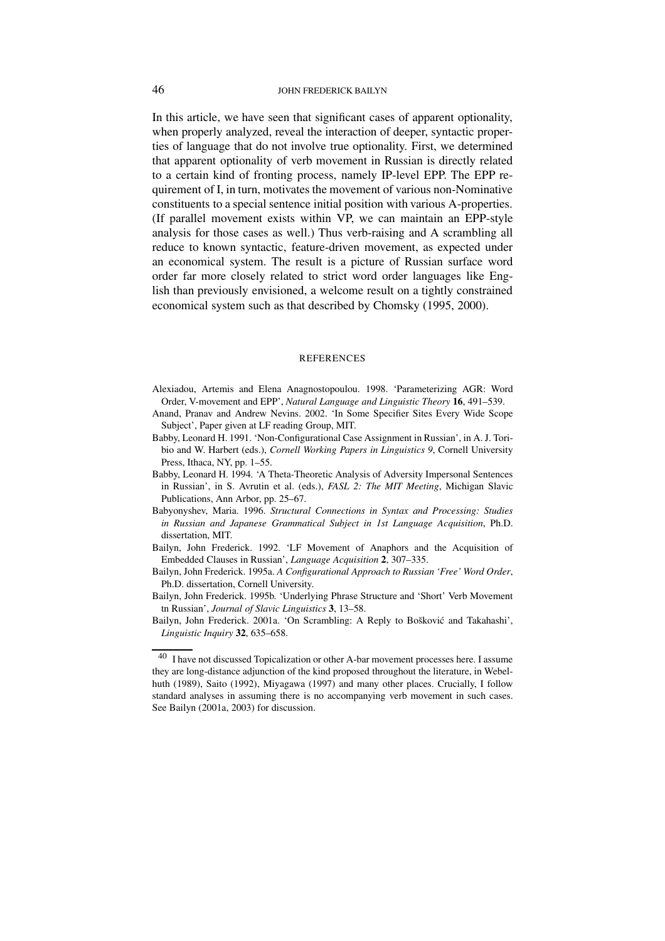In this article, we have seen that significant cases of apparent optionality, when properly analyzed, reveal the interaction of deeper, syntactic properties of language that do not involve true optionality. First, we determined that apparent optionality of verb movement in Russian is directly related to a certain kind of fronting process, namely IP-level EPP. The EPP requirement of I, in turn, motivates the movement of various non-Nominative constituents to a special sentence initial position with various A-properties. (If parallel movement exists within VP, we can maintain an EPP-style analysis for those cases as well.) Thus verb-raising and A scrambling all reduce to known syntactic, feature-driven movement, as expected under an economical system. The result is a picture of Russian surface word order far more closely related to strict word order languages like English than previously envisioned, a welcome result on a tightly constrained economical system such as that described by Chomsky (1995, 2000).

#### REFERENCES

- Alexiadou, Artemis and Elena Anagnostopoulou. 1998. 'Parameterizing AGR: Word Order, V-movement and EPP', *Natural Language and Linguistic Theory* **16**, 491–539.
- Anand, Pranav and Andrew Nevins. 2002. 'In Some Specifier Sites Every Wide Scope Subject', Paper given at LF reading Group, MIT.
- Babby, Leonard H. 1991. 'Non-Configurational Case Assignment in Russian', in A. J. Toribio and W. Harbert (eds.), *Cornell Working Papers in Linguistics 9*, Cornell University Press, Ithaca, NY, pp. 1–55.
- Babby, Leonard H. 1994. 'A Theta-Theoretic Analysis of Adversity Impersonal Sentences in Russian', in S. Avrutin et al. (eds.), *FASL 2: The MIT Meeting*, Michigan Slavic Publications, Ann Arbor, pp. 25–67.
- Babyonyshev, Maria. 1996. *Structural Connections in Syntax and Processing: Studies in Russian and Japanese Grammatical Subject in 1st Language Acquisition*, Ph.D. dissertation, MIT.
- Bailyn, John Frederick. 1992. 'LF Movement of Anaphors and the Acquisition of Embedded Clauses in Russian', *Language Acquisition* **2**, 307–335.
- Bailyn, John Frederick. 1995a. *A Configurational Approach to Russian 'Free' Word Order*, Ph.D. dissertation, Cornell University.
- Bailyn, John Frederick. 1995b. 'Underlying Phrase Structure and 'Short' Verb Movement tn Russian', *Journal of Slavic Linguistics* **3**, 13–58.
- Bailyn, John Frederick. 2001a. 'On Scrambling: A Reply to Bošković and Takahashi', *Linguistic Inquiry* **32**, 635–658.

<sup>40</sup> I have not discussed Topicalization or other A-bar movement processes here. I assume they are long-distance adjunction of the kind proposed throughout the literature, in Webelhuth (1989), Saito (1992), Miyagawa (1997) and many other places. Crucially, I follow standard analyses in assuming there is no accompanying verb movement in such cases. See Bailyn (2001a, 2003) for discussion.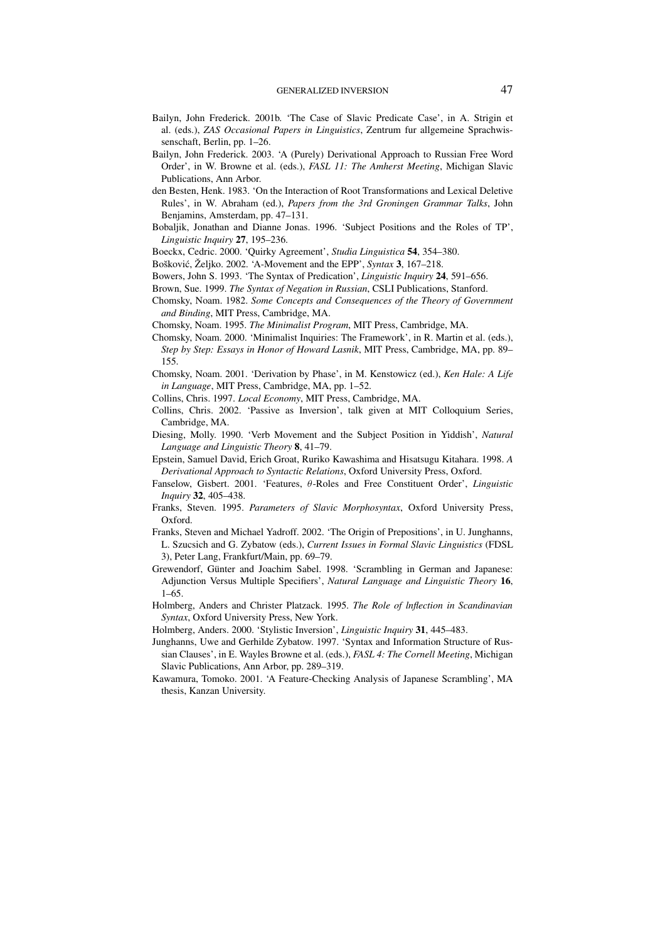- Bailyn, John Frederick. 2001b. 'The Case of Slavic Predicate Case', in A. Strigin et al. (eds.), *ZAS Occasional Papers in Linguistics*, Zentrum fur allgemeine Sprachwissenschaft, Berlin, pp. 1–26.
- Bailyn, John Frederick. 2003. 'A (Purely) Derivational Approach to Russian Free Word Order', in W. Browne et al. (eds.), *FASL 11: The Amherst Meeting*, Michigan Slavic Publications, Ann Arbor.
- den Besten, Henk. 1983. 'On the Interaction of Root Transformations and Lexical Deletive Rules', in W. Abraham (ed.), *Papers from the 3rd Groningen Grammar Talks*, John Benjamins, Amsterdam, pp. 47–131.
- Bobaljik, Jonathan and Dianne Jonas. 1996. 'Subject Positions and the Roles of TP', *Linguistic Inquiry* **27**, 195–236.
- Boeckx, Cedric. 2000. 'Quirky Agreement', *Studia Linguistica* **54**, 354–380.
- Bošković, Željko. 2002. 'A-Movement and the EPP', *Syntax* 3, 167–218.
- Bowers, John S. 1993. 'The Syntax of Predication', *Linguistic Inquiry* **24**, 591–656.
- Brown, Sue. 1999. *The Syntax of Negation in Russian*, CSLI Publications, Stanford.
- Chomsky, Noam. 1982. *Some Concepts and Consequences of the Theory of Government and Binding*, MIT Press, Cambridge, MA.
- Chomsky, Noam. 1995. *The Minimalist Program*, MIT Press, Cambridge, MA.
- Chomsky, Noam. 2000. 'Minimalist Inquiries: The Framework', in R. Martin et al. (eds.), *Step by Step: Essays in Honor of Howard Lasnik*, MIT Press, Cambridge, MA, pp. 89– 155.
- Chomsky, Noam. 2001. 'Derivation by Phase', in M. Kenstowicz (ed.), *Ken Hale: A Life in Language*, MIT Press, Cambridge, MA, pp. 1–52.
- Collins, Chris. 1997. *Local Economy*, MIT Press, Cambridge, MA.
- Collins, Chris. 2002. 'Passive as Inversion', talk given at MIT Colloquium Series, Cambridge, MA.
- Diesing, Molly. 1990. 'Verb Movement and the Subject Position in Yiddish', *Natural Language and Linguistic Theory* **8**, 41–79.
- Epstein, Samuel David, Erich Groat, Ruriko Kawashima and Hisatsugu Kitahara. 1998. *A Derivational Approach to Syntactic Relations*, Oxford University Press, Oxford.
- Fanselow, Gisbert. 2001. 'Features, *θ*-Roles and Free Constituent Order', *Linguistic Inquiry* **32**, 405–438.
- Franks, Steven. 1995. *Parameters of Slavic Morphosyntax*, Oxford University Press, Oxford.
- Franks, Steven and Michael Yadroff. 2002. 'The Origin of Prepositions', in U. Junghanns, L. Szucsich and G. Zybatow (eds.), *Current Issues in Formal Slavic Linguistics* (FDSL 3), Peter Lang, Frankfurt/Main, pp. 69–79.
- Grewendorf, Günter and Joachim Sabel. 1998. 'Scrambling in German and Japanese: Adjunction Versus Multiple Specifiers', *Natural Language and Linguistic Theory* **16**, 1–65.
- Holmberg, Anders and Christer Platzack. 1995. *The Role of lnflection in Scandinavian Syntax*, Oxford University Press, New York.
- Holmberg, Anders. 2000. 'Stylistic Inversion', *Linguistic Inquiry* **31**, 445–483.
- Junghanns, Uwe and Gerhilde Zybatow. 1997. 'Syntax and Information Structure of Russian Clauses', in E. Wayles Browne et al. (eds.), *FASL 4: The Cornell Meeting*, Michigan Slavic Publications, Ann Arbor, pp. 289–319.
- Kawamura, Tomoko. 2001. 'A Feature-Checking Analysis of Japanese Scrambling', MA thesis, Kanzan University.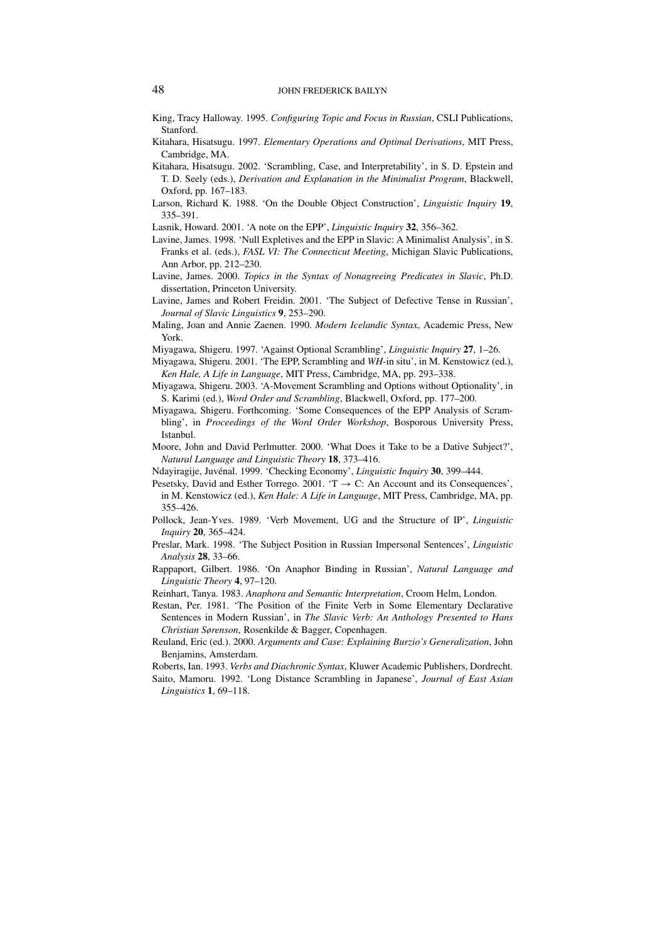- King, Tracy Halloway. 1995. *Configuring Topic and Focus in Russian*, CSLI Publications, Stanford.
- Kitahara, Hisatsugu. 1997. *Elementary Operations and Optimal Derivations*, MIT Press, Cambridge, MA.
- Kitahara, Hisatsugu. 2002. 'Scrambling, Case, and Interpretability', in S. D. Epstein and T. D. Seely (eds.), *Derivation and Explanation in the Minimalist Program*, Blackwell, Oxford, pp. 167–183.
- Larson, Richard K. 1988. 'On the Double Object Construction', *Linguistic Inquiry* **19**, 335–391.
- Lasnik, Howard. 2001. 'A note on the EPP', *Linguistic Inquiry* **32**, 356–362.
- Lavine, James. 1998. 'Null Expletives and the EPP in Slavic: A Minimalist Analysis', in S. Franks et al. (eds.), *FASL VI: The Connecticut Meeting*, Michigan Slavic Publications, Ann Arbor, pp. 212–230.
- Lavine, James. 2000. *Topics in the Syntax of Nonagreeing Predicates in Slavic*, Ph.D. dissertation, Princeton University.
- Lavine, James and Robert Freidin. 2001. 'The Subject of Defective Tense in Russian', *Journal of Slavic Linguistics* **9**, 253–290.
- Maling, Joan and Annie Zaenen. 1990. *Modern Icelandic Syntax*, Academic Press, New York.
- Miyagawa, Shigeru. 1997. 'Against Optional Scrambling', *Linguistic Inquiry* **27**, 1–26.
- Miyagawa, Shigeru. 2001. 'The EPP, Scrambling and *WH*-in situ', in M. Kenstowicz (ed.), *Ken Hale, A Life in Language*, MIT Press, Cambridge, MA, pp. 293–338.
- Miyagawa, Shigeru. 2003. 'A-Movement Scrambling and Options without Optionality', in S. Karimi (ed.), *Word Order and Scrambling*, Blackwell, Oxford, pp. 177–200.
- Miyagawa, Shigeru. Forthcoming. 'Some Consequences of the EPP Analysis of Scrambling', in *Proceedings of the Word Order Workshop*, Bosporous University Press, Istanbul.
- Moore, John and David Perlmutter. 2000. 'What Does it Take to be a Dative Subject?', *Natural Language and Linguistic Theory* **18**, 373–416.
- Ndayiragije, Juvénal. 1999. 'Checking Economy', *Linguistic Inquiry* **30**, 399–444.
- Pesetsky, David and Esther Torrego. 2001. 'T  $\rightarrow$  C: An Account and its Consequences', in M. Kenstowicz (ed.), *Ken Hale: A Life in Language*, MIT Press, Cambridge, MA, pp. 355–426.
- Pollock, Jean-Yves. 1989. 'Verb Movement, UG and the Structure of IP', *Linguistic Inquiry* **20**, 365–424.
- Preslar, Mark. 1998. 'The Subject Position in Russian Impersonal Sentences', *Linguistic Analysis* **28**, 33–66.
- Rappaport, Gilbert. 1986. 'On Anaphor Binding in Russian', *Natural Language and Linguistic Theory* **4**, 97–120.
- Reinhart, Tanya. 1983. *Anaphora and Semantic Interpretation*, Croom Helm, London.
- Restan, Per. 1981. 'The Position of the Finite Verb in Some Elementary Declarative Sentences in Modern Russian', in *The Slavic Verb: An Anthology Presented to Hans Christian Sørenson*, Rosenkilde & Bagger, Copenhagen.
- Reuland, Eric (ed.). 2000. *Arguments and Case: Explaining Burzio's Generalization*, John Benjamins, Amsterdam.
- Roberts, Ian. 1993. *Verbs and Diachronic Syntax*, Kluwer Academic Publishers, Dordrecht.
- Saito, Mamoru. 1992. 'Long Distance Scrambling in Japanese', *Journal of East Asian Linguistics* **1**, 69–118.